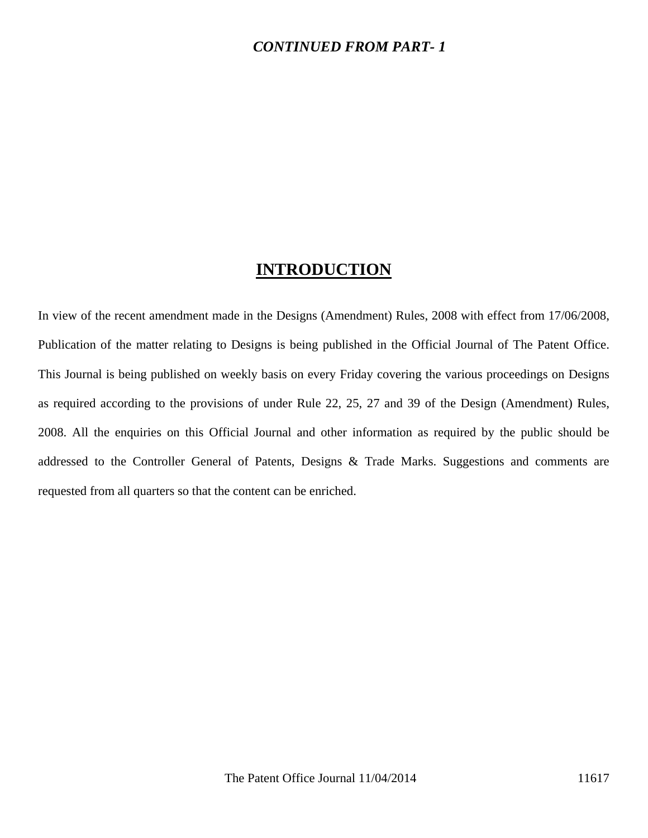### *CONTINUED FROM PART- 1*

## **INTRODUCTION**

In view of the recent amendment made in the Designs (Amendment) Rules, 2008 with effect from 17/06/2008, Publication of the matter relating to Designs is being published in the Official Journal of The Patent Office. This Journal is being published on weekly basis on every Friday covering the various proceedings on Designs as required according to the provisions of under Rule 22, 25, 27 and 39 of the Design (Amendment) Rules, 2008. All the enquiries on this Official Journal and other information as required by the public should be addressed to the Controller General of Patents, Designs & Trade Marks. Suggestions and comments are requested from all quarters so that the content can be enriched.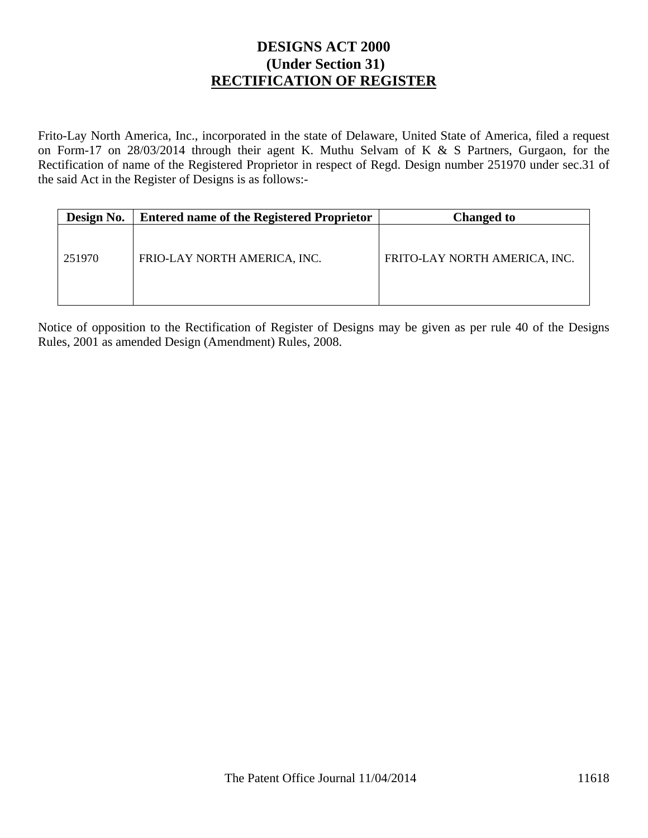## **DESIGNS ACT 2000 (Under Section 31) RECTIFICATION OF REGISTER**

Frito-Lay North America, Inc., incorporated in the state of Delaware, United State of America, filed a request on Form-17 on 28/03/2014 through their agent K. Muthu Selvam of K & S Partners, Gurgaon, for the Rectification of name of the Registered Proprietor in respect of Regd. Design number 251970 under sec.31 of the said Act in the Register of Designs is as follows:-

| Design No. | <b>Entered name of the Registered Proprietor</b> | <b>Changed to</b>             |
|------------|--------------------------------------------------|-------------------------------|
| 251970     | FRIO-LAY NORTH AMERICA, INC.                     | FRITO-LAY NORTH AMERICA, INC. |

Notice of opposition to the Rectification of Register of Designs may be given as per rule 40 of the Designs Rules, 2001 as amended Design (Amendment) Rules, 2008.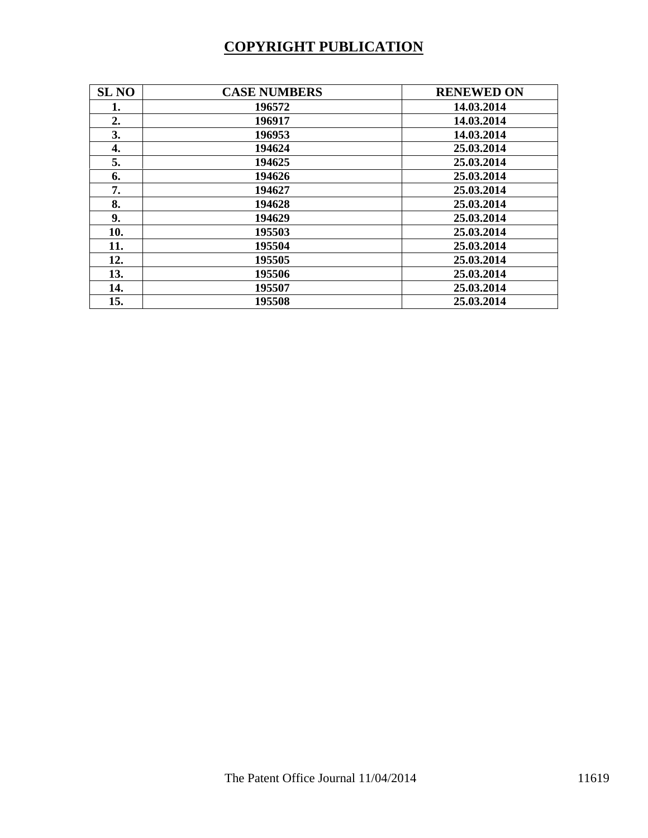# **COPYRIGHT PUBLICATION**

| <b>SL NO</b> | <b>CASE NUMBERS</b> | <b>RENEWED ON</b> |
|--------------|---------------------|-------------------|
| 1.           | 196572              | 14.03.2014        |
| 2.           | 196917              | 14.03.2014        |
| 3.           | 196953              | 14.03.2014        |
| 4.           | 194624              | 25.03.2014        |
| 5.           | 194625              | 25.03.2014        |
| 6.           | 194626              | 25.03.2014        |
| 7.           | 194627              | 25.03.2014        |
| 8.           | 194628              | 25.03.2014        |
| 9.           | 194629              | 25.03.2014        |
| 10.          | 195503              | 25.03.2014        |
| 11.          | 195504              | 25.03.2014        |
| 12.          | 195505              | 25.03.2014        |
| 13.          | 195506              | 25.03.2014        |
| 14.          | 195507              | 25.03.2014        |
| 15.          | 195508              | 25.03.2014        |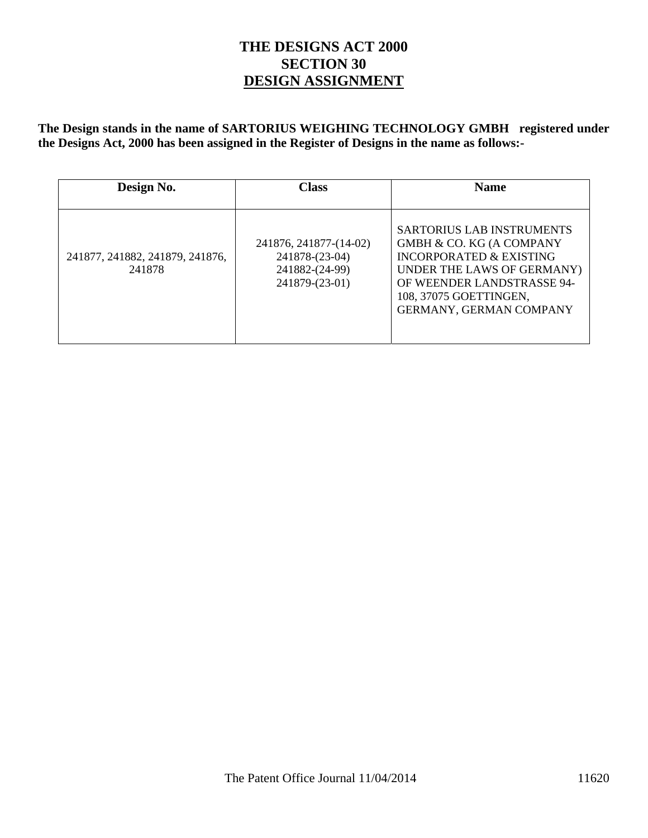## **THE DESIGNS ACT 2000 SECTION 30 DESIGN ASSIGNMENT**

**The Design stands in the name of SARTORIUS WEIGHING TECHNOLOGY GMBH registered under the Designs Act, 2000 has been assigned in the Register of Designs in the name as follows:-** 

| Design No.                                | <b>Class</b>                                                                 | <b>Name</b>                                                                                                                                                                                                         |
|-------------------------------------------|------------------------------------------------------------------------------|---------------------------------------------------------------------------------------------------------------------------------------------------------------------------------------------------------------------|
| 241877, 241882, 241879, 241876,<br>241878 | 241876, 241877-(14-02)<br>241878-(23-04)<br>241882-(24-99)<br>241879-(23-01) | <b>SARTORIUS LAB INSTRUMENTS</b><br><b>GMBH &amp; CO. KG (A COMPANY</b><br>INCORPORATED & EXISTING<br>UNDER THE LAWS OF GERMANY)<br>OF WEENDER LANDSTRASSE 94-<br>108, 37075 GOETTINGEN,<br>GERMANY, GERMAN COMPANY |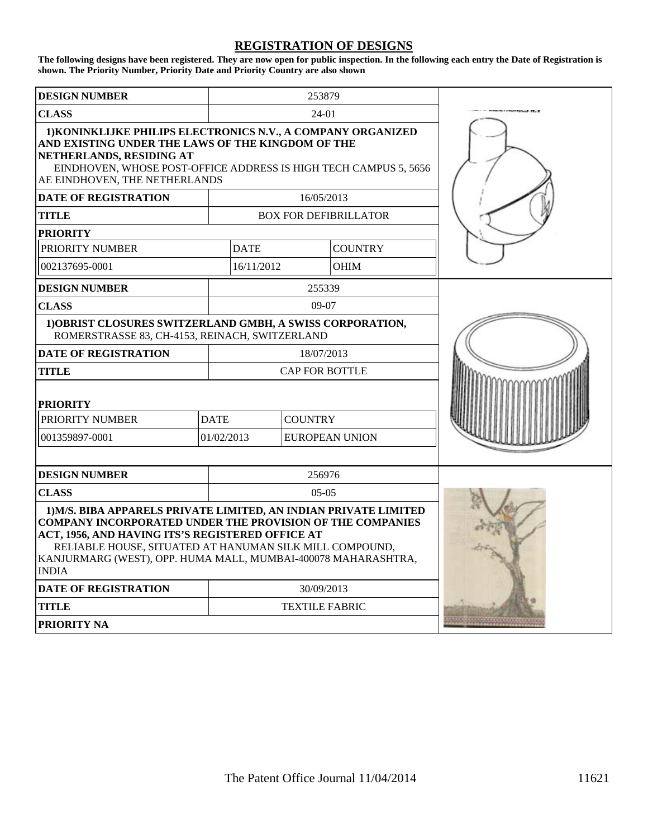#### **REGISTRATION OF DESIGNS**

**The following designs have been registered. They are now open for public inspection. In the following each entry the Date of Registration is shown. The Priority Number, Priority Date and Priority Country are also shown** 

| <b>DESIGN NUMBER</b>                                                                                                                                                                                                                                                                                                                 |                       | 253879                       |                       |  |
|--------------------------------------------------------------------------------------------------------------------------------------------------------------------------------------------------------------------------------------------------------------------------------------------------------------------------------------|-----------------------|------------------------------|-----------------------|--|
| <b>CLASS</b>                                                                                                                                                                                                                                                                                                                         | $24-01$               |                              |                       |  |
| 1) KONINKLIJKE PHILIPS ELECTRONICS N.V., A COMPANY ORGANIZED<br>AND EXISTING UNDER THE LAWS OF THE KINGDOM OF THE<br>NETHERLANDS, RESIDING AT<br>EINDHOVEN, WHOSE POST-OFFICE ADDRESS IS HIGH TECH CAMPUS 5, 5656<br>AE EINDHOVEN, THE NETHERLANDS                                                                                   |                       |                              |                       |  |
| <b>DATE OF REGISTRATION</b>                                                                                                                                                                                                                                                                                                          |                       | 16/05/2013                   |                       |  |
| <b>TITLE</b>                                                                                                                                                                                                                                                                                                                         |                       | <b>BOX FOR DEFIBRILLATOR</b> |                       |  |
| <b>PRIORITY</b>                                                                                                                                                                                                                                                                                                                      |                       |                              |                       |  |
| PRIORITY NUMBER                                                                                                                                                                                                                                                                                                                      | <b>DATE</b>           |                              | <b>COUNTRY</b>        |  |
| 002137695-0001                                                                                                                                                                                                                                                                                                                       | 16/11/2012            |                              | <b>OHIM</b>           |  |
| <b>DESIGN NUMBER</b>                                                                                                                                                                                                                                                                                                                 |                       | 255339                       |                       |  |
| <b>CLASS</b>                                                                                                                                                                                                                                                                                                                         |                       | $09-07$                      |                       |  |
| 1) OBRIST CLOSURES SWITZERLAND GMBH, A SWISS CORPORATION,<br>ROMERSTRASSE 83, CH-4153, REINACH, SWITZERLAND                                                                                                                                                                                                                          |                       |                              |                       |  |
| <b>DATE OF REGISTRATION</b>                                                                                                                                                                                                                                                                                                          |                       | 18/07/2013                   |                       |  |
| <b>TITLE</b>                                                                                                                                                                                                                                                                                                                         | <b>CAP FOR BOTTLE</b> |                              |                       |  |
| <b>PRIORITY</b>                                                                                                                                                                                                                                                                                                                      |                       |                              |                       |  |
| PRIORITY NUMBER                                                                                                                                                                                                                                                                                                                      | <b>DATE</b>           | <b>COUNTRY</b>               |                       |  |
| 001359897-0001                                                                                                                                                                                                                                                                                                                       | 01/02/2013            |                              | <b>EUROPEAN UNION</b> |  |
|                                                                                                                                                                                                                                                                                                                                      |                       |                              |                       |  |
| <b>DESIGN NUMBER</b>                                                                                                                                                                                                                                                                                                                 |                       | 256976                       |                       |  |
| <b>CLASS</b>                                                                                                                                                                                                                                                                                                                         | $05-05$               |                              |                       |  |
| 1) M/S. BIBA APPARELS PRIVATE LIMITED, AN INDIAN PRIVATE LIMITED<br><b>COMPANY INCORPORATED UNDER THE PROVISION OF THE COMPANIES</b><br>ACT, 1956, AND HAVING ITS'S REGISTERED OFFICE AT<br>RELIABLE HOUSE, SITUATED AT HANUMAN SILK MILL COMPOUND,<br>KANJURMARG (WEST), OPP. HUMA MALL, MUMBAI-400078 MAHARASHTRA,<br><b>INDIA</b> |                       |                              |                       |  |
| <b>DATE OF REGISTRATION</b>                                                                                                                                                                                                                                                                                                          | 30/09/2013            |                              |                       |  |
| <b>TITLE</b>                                                                                                                                                                                                                                                                                                                         | <b>TEXTILE FABRIC</b> |                              |                       |  |
| <b>PRIORITY NA</b>                                                                                                                                                                                                                                                                                                                   |                       |                              |                       |  |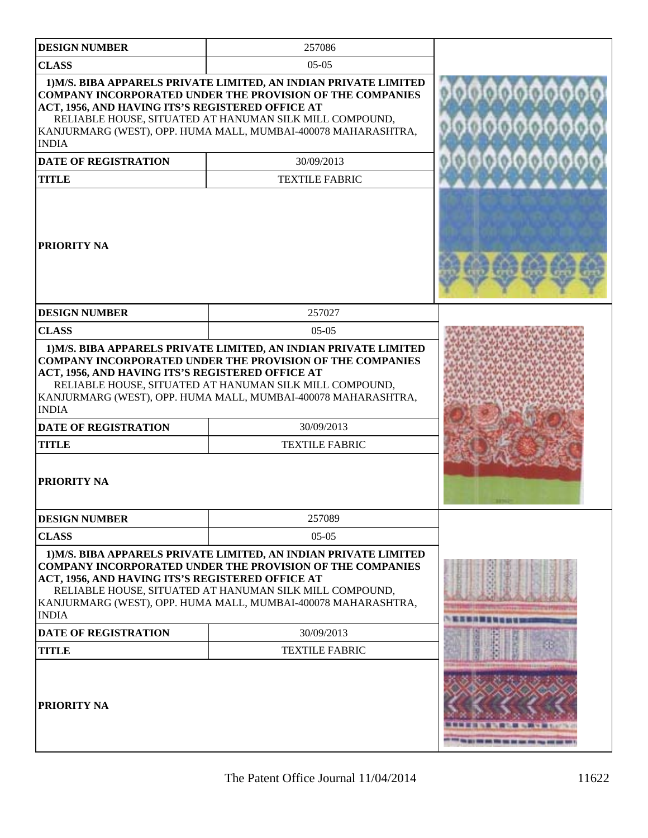| <b>DESIGN NUMBER</b>                                                                                                                                                                                                                                                                                                                                                | 257086                                                                                                                                                                                                                                                           |  |
|---------------------------------------------------------------------------------------------------------------------------------------------------------------------------------------------------------------------------------------------------------------------------------------------------------------------------------------------------------------------|------------------------------------------------------------------------------------------------------------------------------------------------------------------------------------------------------------------------------------------------------------------|--|
| <b>CLASS</b>                                                                                                                                                                                                                                                                                                                                                        | $05-05$                                                                                                                                                                                                                                                          |  |
| 1) M/S. BIBA APPARELS PRIVATE LIMITED, AN INDIAN PRIVATE LIMITED<br><b>COMPANY INCORPORATED UNDER THE PROVISION OF THE COMPANIES</b><br>ACT, 1956, AND HAVING ITS'S REGISTERED OFFICE AT<br>RELIABLE HOUSE, SITUATED AT HANUMAN SILK MILL COMPOUND,<br>KANJURMARG (WEST), OPP. HUMA MALL, MUMBAI-400078 MAHARASHTRA,<br><b>INDIA</b><br><b>DATE OF REGISTRATION</b> | 010101010101010<br>00000000000                                                                                                                                                                                                                                   |  |
| <b>TITLE</b>                                                                                                                                                                                                                                                                                                                                                        | <b>TEXTILE FABRIC</b>                                                                                                                                                                                                                                            |  |
| PRIORITY NA                                                                                                                                                                                                                                                                                                                                                         |                                                                                                                                                                                                                                                                  |  |
| <b>DESIGN NUMBER</b>                                                                                                                                                                                                                                                                                                                                                | 257027                                                                                                                                                                                                                                                           |  |
| <b>CLASS</b>                                                                                                                                                                                                                                                                                                                                                        | $05-05$                                                                                                                                                                                                                                                          |  |
| ACT, 1956, AND HAVING ITS'S REGISTERED OFFICE AT<br><b>INDIA</b><br><b>DATE OF REGISTRATION</b><br><b>TITLE</b><br>PRIORITY NA                                                                                                                                                                                                                                      | RELIABLE HOUSE, SITUATED AT HANUMAN SILK MILL COMPOUND,<br>KANJURMARG (WEST), OPP. HUMA MALL, MUMBAI-400078 MAHARASHTRA,<br>30/09/2013<br><b>TEXTILE FABRIC</b>                                                                                                  |  |
| <b>DESIGN NUMBER</b>                                                                                                                                                                                                                                                                                                                                                | 257089                                                                                                                                                                                                                                                           |  |
| <b>CLASS</b>                                                                                                                                                                                                                                                                                                                                                        | $05-05$                                                                                                                                                                                                                                                          |  |
| ACT, 1956, AND HAVING ITS'S REGISTERED OFFICE AT<br><b>INDIA</b>                                                                                                                                                                                                                                                                                                    | 1) M/S. BIBA APPARELS PRIVATE LIMITED, AN INDIAN PRIVATE LIMITED<br><b>COMPANY INCORPORATED UNDER THE PROVISION OF THE COMPANIES</b><br>RELIABLE HOUSE, SITUATED AT HANUMAN SILK MILL COMPOUND,<br>KANJURMARG (WEST), OPP. HUMA MALL, MUMBAI-400078 MAHARASHTRA, |  |
| <b>DATE OF REGISTRATION</b>                                                                                                                                                                                                                                                                                                                                         | 30/09/2013                                                                                                                                                                                                                                                       |  |
| <b>TITLE</b>                                                                                                                                                                                                                                                                                                                                                        | <b>TEXTILE FABRIC</b>                                                                                                                                                                                                                                            |  |
| PRIORITY NA                                                                                                                                                                                                                                                                                                                                                         |                                                                                                                                                                                                                                                                  |  |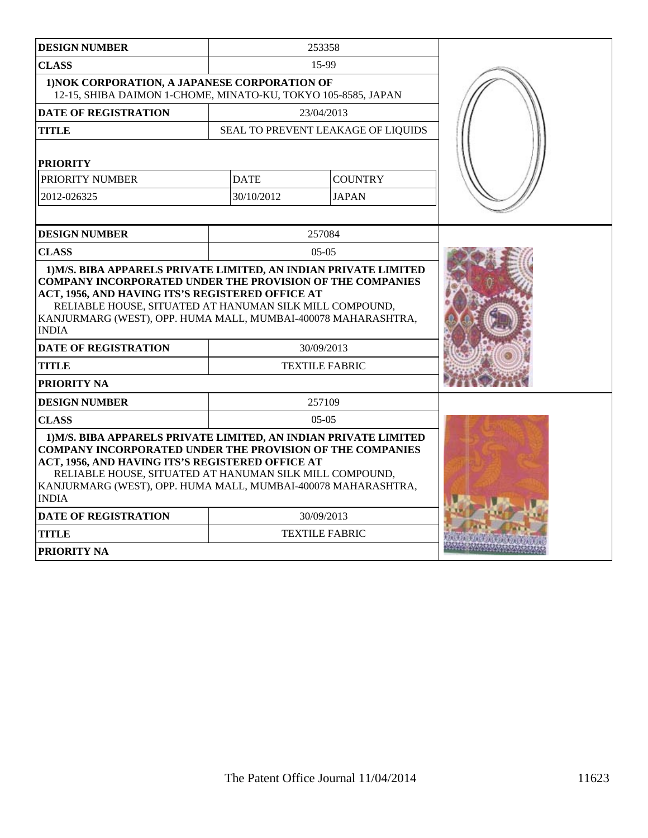| <b>DESIGN NUMBER</b>                                                                                                                                                                                                                                                                                                                 |                       | 253358                             |  |
|--------------------------------------------------------------------------------------------------------------------------------------------------------------------------------------------------------------------------------------------------------------------------------------------------------------------------------------|-----------------------|------------------------------------|--|
| <b>CLASS</b>                                                                                                                                                                                                                                                                                                                         | 15-99                 |                                    |  |
| 1) NOK CORPORATION, A JAPANESE CORPORATION OF<br>12-15, SHIBA DAIMON 1-CHOME, MINATO-KU, TOKYO 105-8585, JAPAN                                                                                                                                                                                                                       |                       |                                    |  |
| <b>DATE OF REGISTRATION</b>                                                                                                                                                                                                                                                                                                          |                       | 23/04/2013                         |  |
| TITLE                                                                                                                                                                                                                                                                                                                                |                       | SEAL TO PREVENT LEAKAGE OF LIQUIDS |  |
| <b>PRIORITY</b>                                                                                                                                                                                                                                                                                                                      |                       |                                    |  |
| PRIORITY NUMBER                                                                                                                                                                                                                                                                                                                      | <b>DATE</b>           | <b>COUNTRY</b>                     |  |
| 2012-026325                                                                                                                                                                                                                                                                                                                          | 30/10/2012            | <b>JAPAN</b>                       |  |
|                                                                                                                                                                                                                                                                                                                                      |                       |                                    |  |
| <b>DESIGN NUMBER</b>                                                                                                                                                                                                                                                                                                                 |                       | 257084                             |  |
| <b>CLASS</b>                                                                                                                                                                                                                                                                                                                         |                       | $05-05$                            |  |
| ACT, 1956, AND HAVING ITS'S REGISTERED OFFICE AT<br>RELIABLE HOUSE, SITUATED AT HANUMAN SILK MILL COMPOUND,<br>KANJURMARG (WEST), OPP. HUMA MALL, MUMBAI-400078 MAHARASHTRA,<br><b>INDIA</b>                                                                                                                                         |                       |                                    |  |
| <b>DATE OF REGISTRATION</b>                                                                                                                                                                                                                                                                                                          | 30/09/2013            |                                    |  |
| TITLE                                                                                                                                                                                                                                                                                                                                | <b>TEXTILE FABRIC</b> |                                    |  |
| PRIORITY NA                                                                                                                                                                                                                                                                                                                          |                       |                                    |  |
| 257109<br><b>DESIGN NUMBER</b>                                                                                                                                                                                                                                                                                                       |                       |                                    |  |
| <b>CLASS</b>                                                                                                                                                                                                                                                                                                                         |                       | $05-05$                            |  |
| 1) M/S. BIBA APPARELS PRIVATE LIMITED, AN INDIAN PRIVATE LIMITED<br><b>COMPANY INCORPORATED UNDER THE PROVISION OF THE COMPANIES</b><br>ACT, 1956, AND HAVING ITS'S REGISTERED OFFICE AT<br>RELIABLE HOUSE, SITUATED AT HANUMAN SILK MILL COMPOUND,<br>KANJURMARG (WEST), OPP. HUMA MALL, MUMBAI-400078 MAHARASHTRA,<br><b>INDIA</b> |                       |                                    |  |
| <b>DATE OF REGISTRATION</b>                                                                                                                                                                                                                                                                                                          |                       | 30/09/2013                         |  |
| TITLE                                                                                                                                                                                                                                                                                                                                |                       | <b>TEXTILE FABRIC</b>              |  |
| PRIORITY NA                                                                                                                                                                                                                                                                                                                          |                       |                                    |  |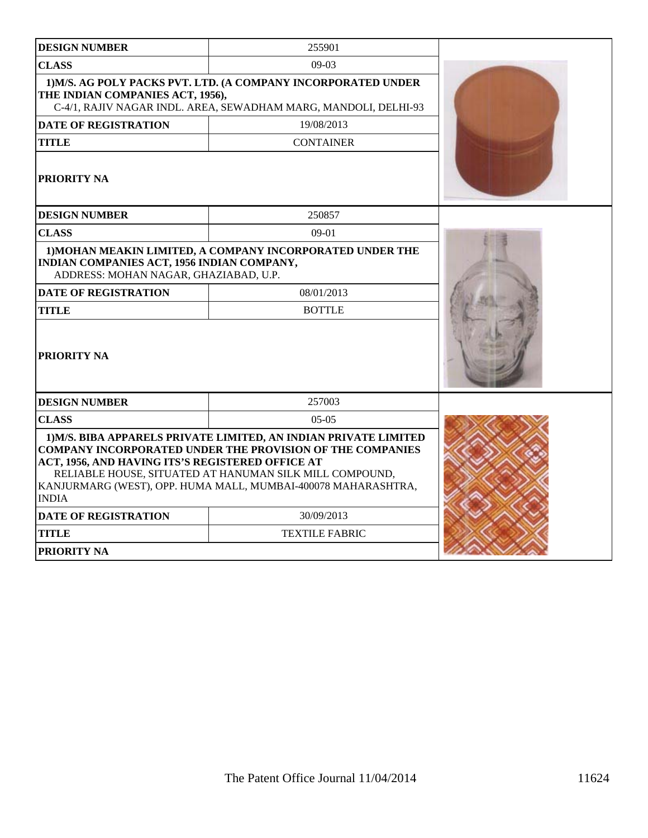| <b>DESIGN NUMBER</b>                                                                                                                                                                                                                                                                                                                 | 255901                                                                                                                           |  |
|--------------------------------------------------------------------------------------------------------------------------------------------------------------------------------------------------------------------------------------------------------------------------------------------------------------------------------------|----------------------------------------------------------------------------------------------------------------------------------|--|
| <b>CLASS</b><br>$09-03$                                                                                                                                                                                                                                                                                                              |                                                                                                                                  |  |
| THE INDIAN COMPANIES ACT, 1956),                                                                                                                                                                                                                                                                                                     | 1) M/S. AG POLY PACKS PVT. LTD. (A COMPANY INCORPORATED UNDER<br>C-4/1, RAJIV NAGAR INDL. AREA, SEWADHAM MARG, MANDOLI, DELHI-93 |  |
| <b>DATE OF REGISTRATION</b>                                                                                                                                                                                                                                                                                                          | 19/08/2013                                                                                                                       |  |
| TITLE                                                                                                                                                                                                                                                                                                                                | <b>CONTAINER</b>                                                                                                                 |  |
| <b>PRIORITY NA</b>                                                                                                                                                                                                                                                                                                                   |                                                                                                                                  |  |
| <b>DESIGN NUMBER</b>                                                                                                                                                                                                                                                                                                                 | 250857                                                                                                                           |  |
| <b>CLASS</b>                                                                                                                                                                                                                                                                                                                         | $09-01$                                                                                                                          |  |
| INDIAN COMPANIES ACT, 1956 INDIAN COMPANY,<br>ADDRESS: MOHAN NAGAR, GHAZIABAD, U.P.                                                                                                                                                                                                                                                  | 1) MOHAN MEAKIN LIMITED, A COMPANY INCORPORATED UNDER THE                                                                        |  |
| <b>DATE OF REGISTRATION</b><br>08/01/2013<br><b>TITLE</b><br><b>BOTTLE</b>                                                                                                                                                                                                                                                           |                                                                                                                                  |  |
| <b>PRIORITY NA</b>                                                                                                                                                                                                                                                                                                                   |                                                                                                                                  |  |
| <b>DESIGN NUMBER</b>                                                                                                                                                                                                                                                                                                                 | 257003                                                                                                                           |  |
| <b>CLASS</b>                                                                                                                                                                                                                                                                                                                         | $0.5 - 0.5$                                                                                                                      |  |
| 1) M/S. BIBA APPARELS PRIVATE LIMITED, AN INDIAN PRIVATE LIMITED<br><b>COMPANY INCORPORATED UNDER THE PROVISION OF THE COMPANIES</b><br>ACT, 1956, AND HAVING ITS'S REGISTERED OFFICE AT<br>RELIABLE HOUSE, SITUATED AT HANUMAN SILK MILL COMPOUND,<br>KANJURMARG (WEST), OPP. HUMA MALL, MUMBAI-400078 MAHARASHTRA,<br><b>INDIA</b> |                                                                                                                                  |  |
| <b>DATE OF REGISTRATION</b>                                                                                                                                                                                                                                                                                                          | 30/09/2013                                                                                                                       |  |
| <b>TITLE</b>                                                                                                                                                                                                                                                                                                                         | <b>TEXTILE FABRIC</b>                                                                                                            |  |
| <b>PRIORITY NA</b>                                                                                                                                                                                                                                                                                                                   |                                                                                                                                  |  |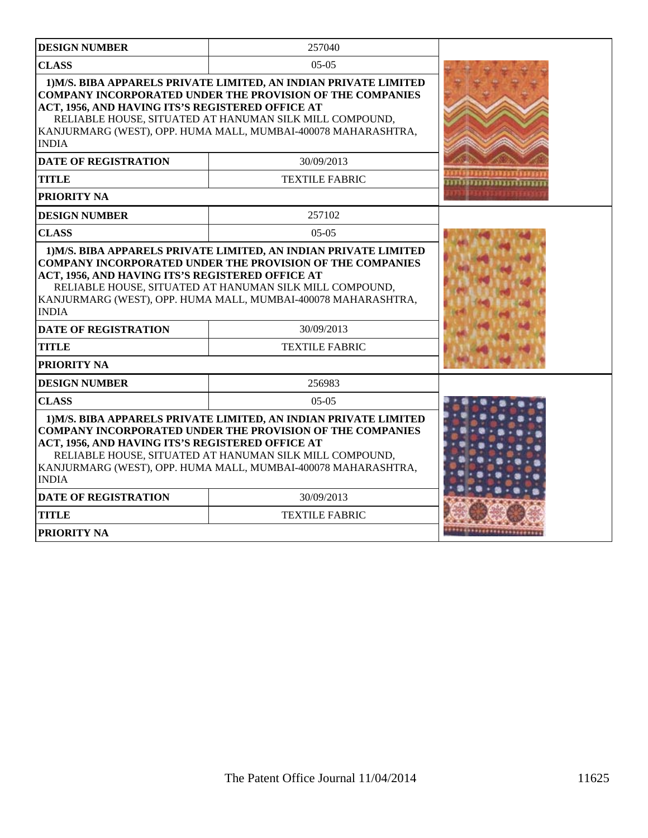| <b>DESIGN NUMBER</b>                                                                                                                                                                                                                                                                                                                 | 257040                |                   |  |
|--------------------------------------------------------------------------------------------------------------------------------------------------------------------------------------------------------------------------------------------------------------------------------------------------------------------------------------|-----------------------|-------------------|--|
| <b>CLASS</b>                                                                                                                                                                                                                                                                                                                         |                       |                   |  |
| 1) M/S. BIBA APPARELS PRIVATE LIMITED, AN INDIAN PRIVATE LIMITED<br><b>COMPANY INCORPORATED UNDER THE PROVISION OF THE COMPANIES</b><br>ACT, 1956, AND HAVING ITS'S REGISTERED OFFICE AT<br>RELIABLE HOUSE, SITUATED AT HANUMAN SILK MILL COMPOUND,<br>KANJURMARG (WEST), OPP. HUMA MALL, MUMBAI-400078 MAHARASHTRA,<br><b>INDIA</b> |                       |                   |  |
| <b>DATE OF REGISTRATION</b>                                                                                                                                                                                                                                                                                                          | 30/09/2013            |                   |  |
| <b>TITLE</b>                                                                                                                                                                                                                                                                                                                         | <b>TEXTILE FABRIC</b> | ,,,,,,,,,,,,,,,,, |  |
| <b>PRIORITY NA</b>                                                                                                                                                                                                                                                                                                                   |                       |                   |  |
| <b>DESIGN NUMBER</b>                                                                                                                                                                                                                                                                                                                 | 257102                |                   |  |
| <b>CLASS</b>                                                                                                                                                                                                                                                                                                                         | $05-05$               |                   |  |
| <b>COMPANY INCORPORATED UNDER THE PROVISION OF THE COMPANIES</b><br>ACT, 1956, AND HAVING ITS'S REGISTERED OFFICE AT<br>RELIABLE HOUSE, SITUATED AT HANUMAN SILK MILL COMPOUND,<br>KANJURMARG (WEST), OPP. HUMA MALL, MUMBAI-400078 MAHARASHTRA,<br><b>INDIA</b>                                                                     |                       |                   |  |
| <b>DATE OF REGISTRATION</b>                                                                                                                                                                                                                                                                                                          |                       |                   |  |
| <b>TITLE</b><br><b>TEXTILE FABRIC</b>                                                                                                                                                                                                                                                                                                |                       |                   |  |
| <b>PRIORITY NA</b>                                                                                                                                                                                                                                                                                                                   |                       |                   |  |
| <b>DESIGN NUMBER</b>                                                                                                                                                                                                                                                                                                                 | 256983                |                   |  |
| <b>CLASS</b>                                                                                                                                                                                                                                                                                                                         | $0.5 - 0.5$           |                   |  |
| 1) M/S. BIBA APPARELS PRIVATE LIMITED, AN INDIAN PRIVATE LIMITED<br><b>COMPANY INCORPORATED UNDER THE PROVISION OF THE COMPANIES</b><br>ACT, 1956, AND HAVING ITS'S REGISTERED OFFICE AT<br>RELIABLE HOUSE, SITUATED AT HANUMAN SILK MILL COMPOUND,<br>KANJURMARG (WEST), OPP. HUMA MALL, MUMBAI-400078 MAHARASHTRA,<br><b>INDIA</b> |                       |                   |  |
| <b>DATE OF REGISTRATION</b>                                                                                                                                                                                                                                                                                                          | 30/09/2013            |                   |  |
| <b>TITLE</b>                                                                                                                                                                                                                                                                                                                         | <b>TEXTILE FABRIC</b> |                   |  |
| <b>PRIORITY NA</b>                                                                                                                                                                                                                                                                                                                   |                       |                   |  |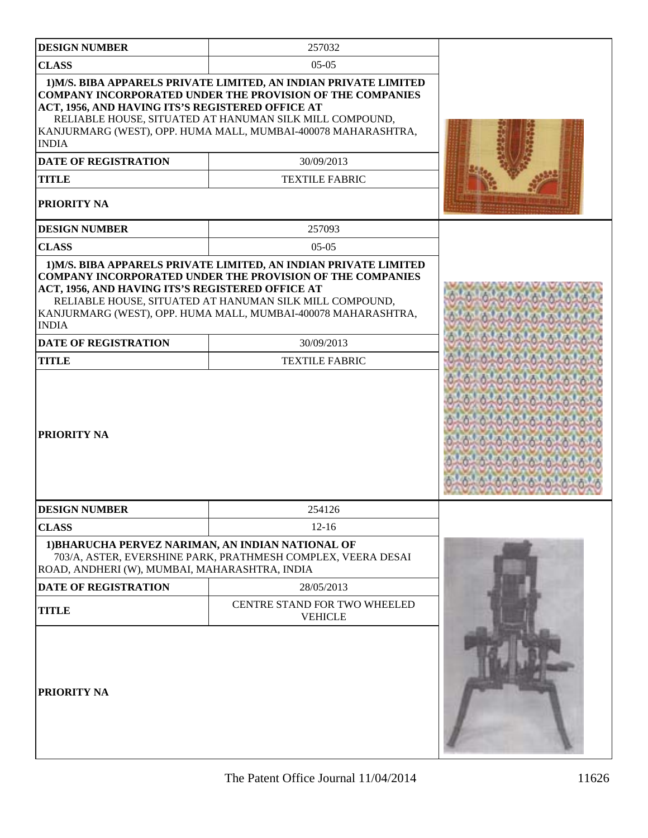| <b>DESIGN NUMBER</b>                                                                                                                  | 257032                                                                                                                                                                                                                                                                                                  |  |
|---------------------------------------------------------------------------------------------------------------------------------------|---------------------------------------------------------------------------------------------------------------------------------------------------------------------------------------------------------------------------------------------------------------------------------------------------------|--|
| <b>CLASS</b>                                                                                                                          |                                                                                                                                                                                                                                                                                                         |  |
| ACT, 1956, AND HAVING ITS'S REGISTERED OFFICE AT<br><b>INDIA</b><br><b>DATE OF REGISTRATION</b><br><b>TITLE</b><br><b>PRIORITY NA</b> | 1) M/S. BIBA APPARELS PRIVATE LIMITED, AN INDIAN PRIVATE LIMITED<br><b>COMPANY INCORPORATED UNDER THE PROVISION OF THE COMPANIES</b><br>RELIABLE HOUSE, SITUATED AT HANUMAN SILK MILL COMPOUND,<br>KANJURMARG (WEST), OPP. HUMA MALL, MUMBAI-400078 MAHARASHTRA,<br>30/09/2013<br><b>TEXTILE FABRIC</b> |  |
| <b>DESIGN NUMBER</b>                                                                                                                  | 257093                                                                                                                                                                                                                                                                                                  |  |
| <b>CLASS</b>                                                                                                                          | $05-05$                                                                                                                                                                                                                                                                                                 |  |
| ACT, 1956, AND HAVING ITS'S REGISTERED OFFICE AT<br><b>INDIA</b>                                                                      | 1) M/S. BIBA APPARELS PRIVATE LIMITED, AN INDIAN PRIVATE LIMITED<br><b>COMPANY INCORPORATED UNDER THE PROVISION OF THE COMPANIES</b><br>RELIABLE HOUSE, SITUATED AT HANUMAN SILK MILL COMPOUND,<br>KANJURMARG (WEST), OPP. HUMA MALL, MUMBAI-400078 MAHARASHTRA,                                        |  |
| <b>DATE OF REGISTRATION</b>                                                                                                           | 30/09/2013                                                                                                                                                                                                                                                                                              |  |
| <b>TITLE</b>                                                                                                                          | <b>TEXTILE FABRIC</b>                                                                                                                                                                                                                                                                                   |  |
| <b>PRIORITY NA</b>                                                                                                                    |                                                                                                                                                                                                                                                                                                         |  |
| <b>DESIGN NUMBER</b>                                                                                                                  | 254126                                                                                                                                                                                                                                                                                                  |  |
| <b>CLASS</b>                                                                                                                          | $12 - 16$                                                                                                                                                                                                                                                                                               |  |
| 1) BHARUCHA PERVEZ NARIMAN, AN INDIAN NATIONAL OF<br>ROAD, ANDHERI (W), MUMBAI, MAHARASHTRA, INDIA                                    | 703/A, ASTER, EVERSHINE PARK, PRATHMESH COMPLEX, VEERA DESAI                                                                                                                                                                                                                                            |  |
| <b>DATE OF REGISTRATION</b>                                                                                                           | 28/05/2013                                                                                                                                                                                                                                                                                              |  |
| <b>TITLE</b>                                                                                                                          | CENTRE STAND FOR TWO WHEELED<br><b>VEHICLE</b>                                                                                                                                                                                                                                                          |  |
| PRIORITY NA                                                                                                                           |                                                                                                                                                                                                                                                                                                         |  |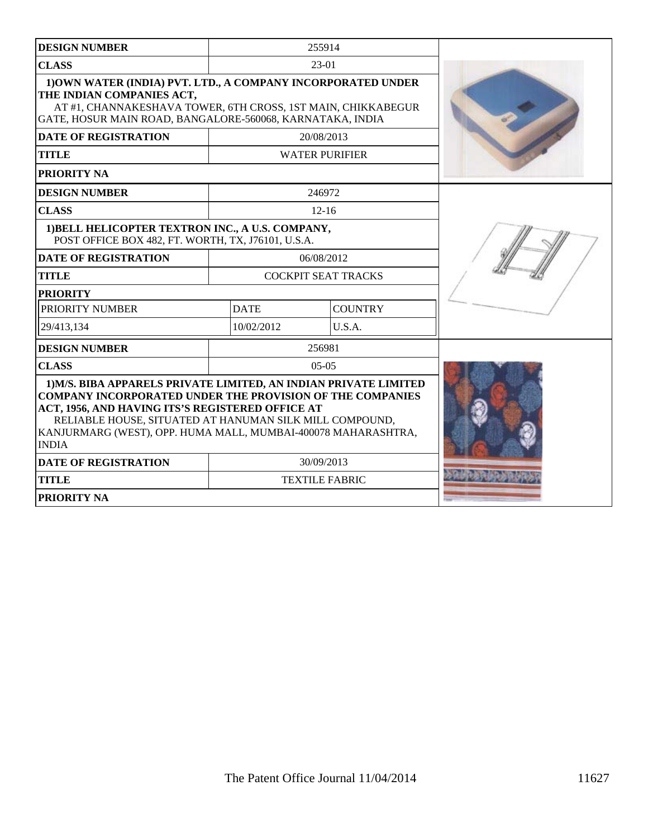| <b>DESIGN NUMBER</b>                                                                                                                                                                                                                                                                                                                 |             | 255914                     |  |
|--------------------------------------------------------------------------------------------------------------------------------------------------------------------------------------------------------------------------------------------------------------------------------------------------------------------------------------|-------------|----------------------------|--|
| <b>CLASS</b>                                                                                                                                                                                                                                                                                                                         |             | 23-01                      |  |
| 1) OWN WATER (INDIA) PVT. LTD., A COMPANY INCORPORATED UNDER<br>THE INDIAN COMPANIES ACT,<br>AT #1, CHANNAKESHAVA TOWER, 6TH CROSS, 1ST MAIN, CHIKKABEGUR<br>GATE, HOSUR MAIN ROAD, BANGALORE-560068, KARNATAKA, INDIA                                                                                                               |             |                            |  |
| <b>DATE OF REGISTRATION</b>                                                                                                                                                                                                                                                                                                          |             | 20/08/2013                 |  |
| <b>TITLE</b>                                                                                                                                                                                                                                                                                                                         |             | <b>WATER PURIFIER</b>      |  |
| PRIORITY NA                                                                                                                                                                                                                                                                                                                          |             |                            |  |
| <b>DESIGN NUMBER</b>                                                                                                                                                                                                                                                                                                                 |             | 246972                     |  |
| <b>CLASS</b>                                                                                                                                                                                                                                                                                                                         |             | $12 - 16$                  |  |
| 1) BELL HELICOPTER TEXTRON INC., A U.S. COMPANY,<br>POST OFFICE BOX 482, FT. WORTH, TX, J76101, U.S.A.                                                                                                                                                                                                                               |             |                            |  |
| <b>DATE OF REGISTRATION</b>                                                                                                                                                                                                                                                                                                          |             | 06/08/2012                 |  |
| <b>TITLE</b>                                                                                                                                                                                                                                                                                                                         |             | <b>COCKPIT SEAT TRACKS</b> |  |
| <b>PRIORITY</b>                                                                                                                                                                                                                                                                                                                      |             |                            |  |
| PRIORITY NUMBER                                                                                                                                                                                                                                                                                                                      | <b>DATE</b> | <b>COUNTRY</b>             |  |
| 29/413,134                                                                                                                                                                                                                                                                                                                           | 10/02/2012  | U.S.A.                     |  |
| <b>DESIGN NUMBER</b>                                                                                                                                                                                                                                                                                                                 |             | 256981                     |  |
| <b>CLASS</b>                                                                                                                                                                                                                                                                                                                         |             | $05-05$                    |  |
| 1) M/S. BIBA APPARELS PRIVATE LIMITED, AN INDIAN PRIVATE LIMITED<br><b>COMPANY INCORPORATED UNDER THE PROVISION OF THE COMPANIES</b><br>ACT, 1956, AND HAVING ITS'S REGISTERED OFFICE AT<br>RELIABLE HOUSE, SITUATED AT HANUMAN SILK MILL COMPOUND,<br>KANJURMARG (WEST), OPP. HUMA MALL, MUMBAI-400078 MAHARASHTRA,<br><b>INDIA</b> |             |                            |  |
| <b>DATE OF REGISTRATION</b>                                                                                                                                                                                                                                                                                                          |             | 30/09/2013                 |  |
| <b>TITLE</b>                                                                                                                                                                                                                                                                                                                         |             | <b>TEXTILE FABRIC</b>      |  |
| <b>PRIORITY NA</b>                                                                                                                                                                                                                                                                                                                   |             |                            |  |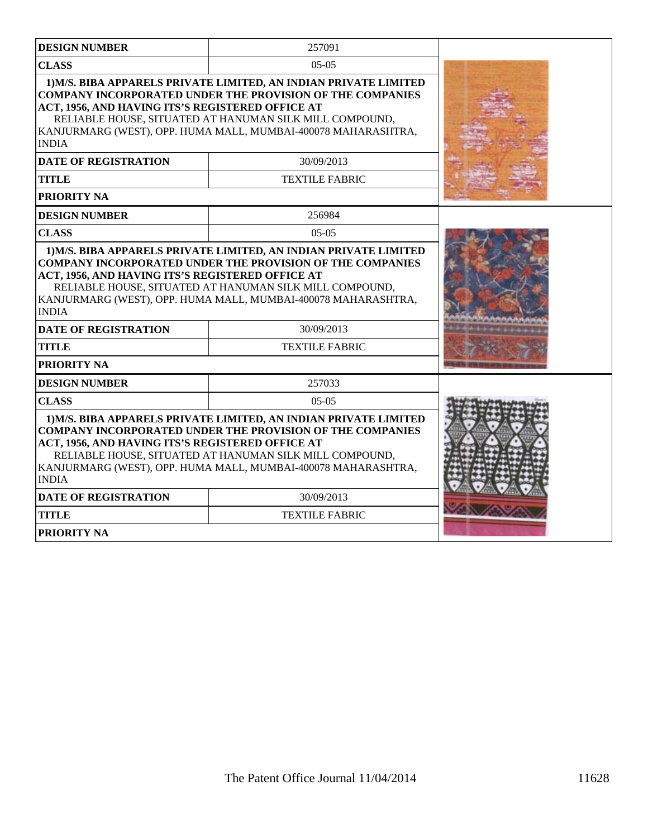| <b>DESIGN NUMBER</b>                                                                                                                                                                                                                                                                                                                 | 257091                                                                                                                                                                                                                                                           |  |
|--------------------------------------------------------------------------------------------------------------------------------------------------------------------------------------------------------------------------------------------------------------------------------------------------------------------------------------|------------------------------------------------------------------------------------------------------------------------------------------------------------------------------------------------------------------------------------------------------------------|--|
| <b>CLASS</b>                                                                                                                                                                                                                                                                                                                         |                                                                                                                                                                                                                                                                  |  |
| ACT, 1956, AND HAVING ITS'S REGISTERED OFFICE AT<br><b>INDIA</b>                                                                                                                                                                                                                                                                     | 1) M/S. BIBA APPARELS PRIVATE LIMITED, AN INDIAN PRIVATE LIMITED<br><b>COMPANY INCORPORATED UNDER THE PROVISION OF THE COMPANIES</b><br>RELIABLE HOUSE, SITUATED AT HANUMAN SILK MILL COMPOUND,<br>KANJURMARG (WEST), OPP. HUMA MALL, MUMBAI-400078 MAHARASHTRA, |  |
| <b>DATE OF REGISTRATION</b>                                                                                                                                                                                                                                                                                                          | 30/09/2013                                                                                                                                                                                                                                                       |  |
| <b>TITLE</b>                                                                                                                                                                                                                                                                                                                         | <b>TEXTILE FABRIC</b>                                                                                                                                                                                                                                            |  |
| PRIORITY NA                                                                                                                                                                                                                                                                                                                          |                                                                                                                                                                                                                                                                  |  |
| <b>DESIGN NUMBER</b>                                                                                                                                                                                                                                                                                                                 | 256984                                                                                                                                                                                                                                                           |  |
| <b>CLASS</b>                                                                                                                                                                                                                                                                                                                         | $05-05$                                                                                                                                                                                                                                                          |  |
| <b>COMPANY INCORPORATED UNDER THE PROVISION OF THE COMPANIES</b><br>ACT, 1956, AND HAVING ITS'S REGISTERED OFFICE AT<br>RELIABLE HOUSE, SITUATED AT HANUMAN SILK MILL COMPOUND,<br>KANJURMARG (WEST), OPP. HUMA MALL, MUMBAI-400078 MAHARASHTRA,<br><b>INDIA</b>                                                                     |                                                                                                                                                                                                                                                                  |  |
| <b>DATE OF REGISTRATION</b>                                                                                                                                                                                                                                                                                                          | 30/09/2013                                                                                                                                                                                                                                                       |  |
| <b>TITLE</b>                                                                                                                                                                                                                                                                                                                         | <b>TEXTILE FABRIC</b>                                                                                                                                                                                                                                            |  |
| PRIORITY NA                                                                                                                                                                                                                                                                                                                          |                                                                                                                                                                                                                                                                  |  |
| <b>DESIGN NUMBER</b>                                                                                                                                                                                                                                                                                                                 | 257033                                                                                                                                                                                                                                                           |  |
| <b>CLASS</b>                                                                                                                                                                                                                                                                                                                         | $05-05$                                                                                                                                                                                                                                                          |  |
| 1) M/S. BIBA APPARELS PRIVATE LIMITED, AN INDIAN PRIVATE LIMITED<br><b>COMPANY INCORPORATED UNDER THE PROVISION OF THE COMPANIES</b><br>ACT, 1956, AND HAVING ITS'S REGISTERED OFFICE AT<br>RELIABLE HOUSE, SITUATED AT HANUMAN SILK MILL COMPOUND,<br>KANJURMARG (WEST), OPP. HUMA MALL, MUMBAI-400078 MAHARASHTRA,<br><b>INDIA</b> |                                                                                                                                                                                                                                                                  |  |
| <b>DATE OF REGISTRATION</b>                                                                                                                                                                                                                                                                                                          | 30/09/2013                                                                                                                                                                                                                                                       |  |
| <b>TITLE</b>                                                                                                                                                                                                                                                                                                                         | <b>TEXTILE FABRIC</b>                                                                                                                                                                                                                                            |  |
| <b>PRIORITY NA</b>                                                                                                                                                                                                                                                                                                                   |                                                                                                                                                                                                                                                                  |  |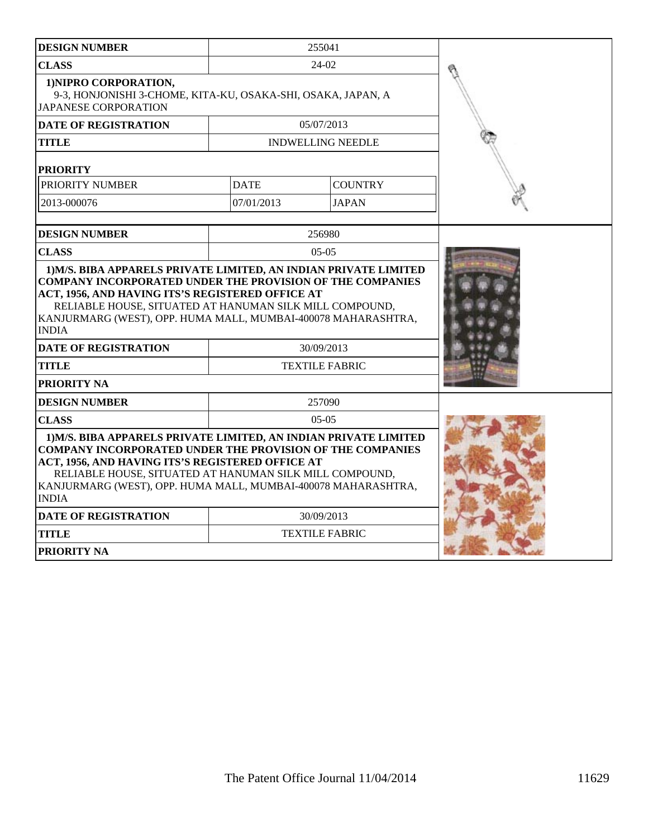| <b>DESIGN NUMBER</b>                                                                                                                                                                                                                                                                                                                 | 255041                |                          |  |
|--------------------------------------------------------------------------------------------------------------------------------------------------------------------------------------------------------------------------------------------------------------------------------------------------------------------------------------|-----------------------|--------------------------|--|
| <b>CLASS</b>                                                                                                                                                                                                                                                                                                                         |                       | $24-02$                  |  |
| 1) NIPRO CORPORATION,<br>9-3, HONJONISHI 3-CHOME, KITA-KU, OSAKA-SHI, OSAKA, JAPAN, A<br><b>JAPANESE CORPORATION</b>                                                                                                                                                                                                                 |                       |                          |  |
| <b>DATE OF REGISTRATION</b>                                                                                                                                                                                                                                                                                                          |                       | 05/07/2013               |  |
| <b>TITLE</b>                                                                                                                                                                                                                                                                                                                         |                       | <b>INDWELLING NEEDLE</b> |  |
| <b>PRIORITY</b>                                                                                                                                                                                                                                                                                                                      |                       |                          |  |
| PRIORITY NUMBER                                                                                                                                                                                                                                                                                                                      | <b>DATE</b>           | <b>COUNTRY</b>           |  |
| 2013-000076                                                                                                                                                                                                                                                                                                                          | 07/01/2013            | <b>JAPAN</b>             |  |
| <b>DESIGN NUMBER</b>                                                                                                                                                                                                                                                                                                                 |                       | 256980                   |  |
| <b>CLASS</b>                                                                                                                                                                                                                                                                                                                         |                       | $05-05$                  |  |
| <b>COMPANY INCORPORATED UNDER THE PROVISION OF THE COMPANIES</b><br>ACT, 1956, AND HAVING ITS'S REGISTERED OFFICE AT<br>RELIABLE HOUSE, SITUATED AT HANUMAN SILK MILL COMPOUND,<br>KANJURMARG (WEST), OPP. HUMA MALL, MUMBAI-400078 MAHARASHTRA,<br><b>INDIA</b>                                                                     |                       |                          |  |
| <b>DATE OF REGISTRATION</b>                                                                                                                                                                                                                                                                                                          | 30/09/2013            |                          |  |
| TITLE                                                                                                                                                                                                                                                                                                                                | <b>TEXTILE FABRIC</b> |                          |  |
| PRIORITY NA                                                                                                                                                                                                                                                                                                                          |                       |                          |  |
| 257090<br><b>DESIGN NUMBER</b>                                                                                                                                                                                                                                                                                                       |                       |                          |  |
| <b>CLASS</b>                                                                                                                                                                                                                                                                                                                         |                       | $05-05$                  |  |
| 1) M/S. BIBA APPARELS PRIVATE LIMITED, AN INDIAN PRIVATE LIMITED<br><b>COMPANY INCORPORATED UNDER THE PROVISION OF THE COMPANIES</b><br>ACT, 1956, AND HAVING ITS'S REGISTERED OFFICE AT<br>RELIABLE HOUSE, SITUATED AT HANUMAN SILK MILL COMPOUND,<br>KANJURMARG (WEST), OPP. HUMA MALL, MUMBAI-400078 MAHARASHTRA,<br><b>INDIA</b> |                       |                          |  |
| <b>DATE OF REGISTRATION</b>                                                                                                                                                                                                                                                                                                          |                       | 30/09/2013               |  |
| <b>TITLE</b>                                                                                                                                                                                                                                                                                                                         | <b>TEXTILE FABRIC</b> |                          |  |
| PRIORITY NA                                                                                                                                                                                                                                                                                                                          |                       |                          |  |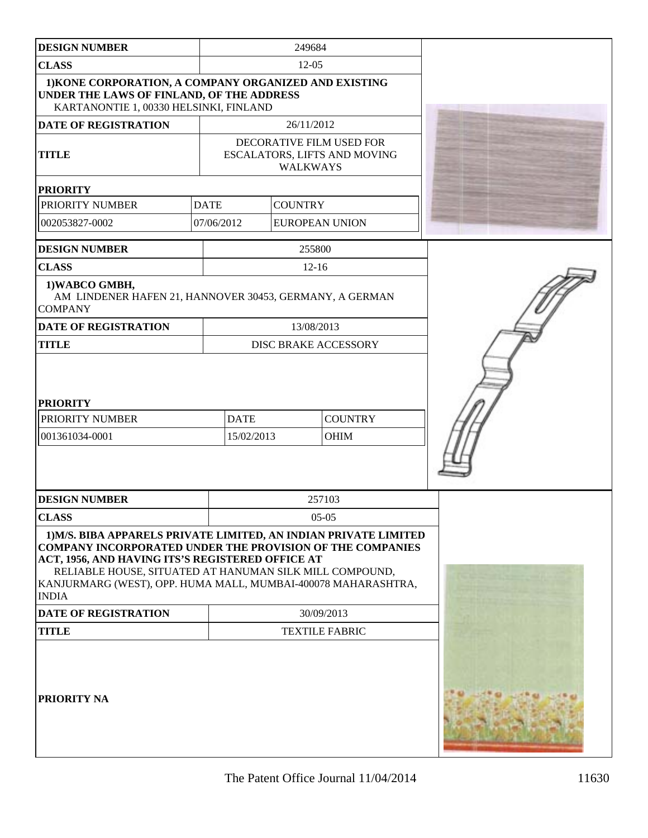| <b>DESIGN NUMBER</b>                                                                                                                                                                                                                                                                                                                     |                           | 249684          |                                                          |  |
|------------------------------------------------------------------------------------------------------------------------------------------------------------------------------------------------------------------------------------------------------------------------------------------------------------------------------------------|---------------------------|-----------------|----------------------------------------------------------|--|
| <b>CLASS</b>                                                                                                                                                                                                                                                                                                                             | $12 - 05$                 |                 |                                                          |  |
| 1) KONE CORPORATION, A COMPANY ORGANIZED AND EXISTING<br>UNDER THE LAWS OF FINLAND, OF THE ADDRESS<br>KARTANONTIE 1, 00330 HELSINKI, FINLAND                                                                                                                                                                                             |                           |                 |                                                          |  |
| <b>DATE OF REGISTRATION</b>                                                                                                                                                                                                                                                                                                              | 26/11/2012                |                 |                                                          |  |
| <b>TITLE</b>                                                                                                                                                                                                                                                                                                                             |                           | <b>WALKWAYS</b> | DECORATIVE FILM USED FOR<br>ESCALATORS, LIFTS AND MOVING |  |
| <b>PRIORITY</b>                                                                                                                                                                                                                                                                                                                          |                           |                 |                                                          |  |
| PRIORITY NUMBER                                                                                                                                                                                                                                                                                                                          | <b>DATE</b>               | <b>COUNTRY</b>  |                                                          |  |
| 002053827-0002                                                                                                                                                                                                                                                                                                                           | 07/06/2012                |                 | <b>EUROPEAN UNION</b>                                    |  |
| <b>DESIGN NUMBER</b>                                                                                                                                                                                                                                                                                                                     |                           | 255800          |                                                          |  |
| <b>CLASS</b>                                                                                                                                                                                                                                                                                                                             |                           | $12 - 16$       |                                                          |  |
| 1) WABCO GMBH,<br>AM LINDENER HAFEN 21, HANNOVER 30453, GERMANY, A GERMAN<br><b>COMPANY</b>                                                                                                                                                                                                                                              |                           |                 |                                                          |  |
| <b>DATE OF REGISTRATION</b>                                                                                                                                                                                                                                                                                                              |                           | 13/08/2013      |                                                          |  |
| <b>TITLE</b>                                                                                                                                                                                                                                                                                                                             |                           |                 | <b>DISC BRAKE ACCESSORY</b>                              |  |
| <b>PRIORITY</b><br>PRIORITY NUMBER<br>001361034-0001                                                                                                                                                                                                                                                                                     | <b>DATE</b><br>15/02/2013 |                 | <b>COUNTRY</b><br><b>OHIM</b>                            |  |
| <b>DESIGN NUMBER</b>                                                                                                                                                                                                                                                                                                                     |                           |                 | 257103                                                   |  |
| <b>CLASS</b>                                                                                                                                                                                                                                                                                                                             |                           |                 | $05-05$                                                  |  |
| 1) M/S. BIBA APPARELS PRIVATE LIMITED, AN INDIAN PRIVATE LIMITED<br><b>COMPANY INCORPORATED UNDER THE PROVISION OF THE COMPANIES</b><br>ACT, 1956, AND HAVING ITS'S REGISTERED OFFICE AT<br>RELIABLE HOUSE, SITUATED AT HANUMAN SILK MILL COMPOUND,<br>KANJURMARG (WEST), OPP. HUMA MALL, MUMBAI-400078 MAHARASHTRA,<br>$\mathbf{INDIA}$ |                           |                 |                                                          |  |
| <b>DATE OF REGISTRATION</b>                                                                                                                                                                                                                                                                                                              | 30/09/2013                |                 |                                                          |  |
| <b>TITLE</b>                                                                                                                                                                                                                                                                                                                             | <b>TEXTILE FABRIC</b>     |                 |                                                          |  |
| <b>PRIORITY NA</b>                                                                                                                                                                                                                                                                                                                       |                           |                 |                                                          |  |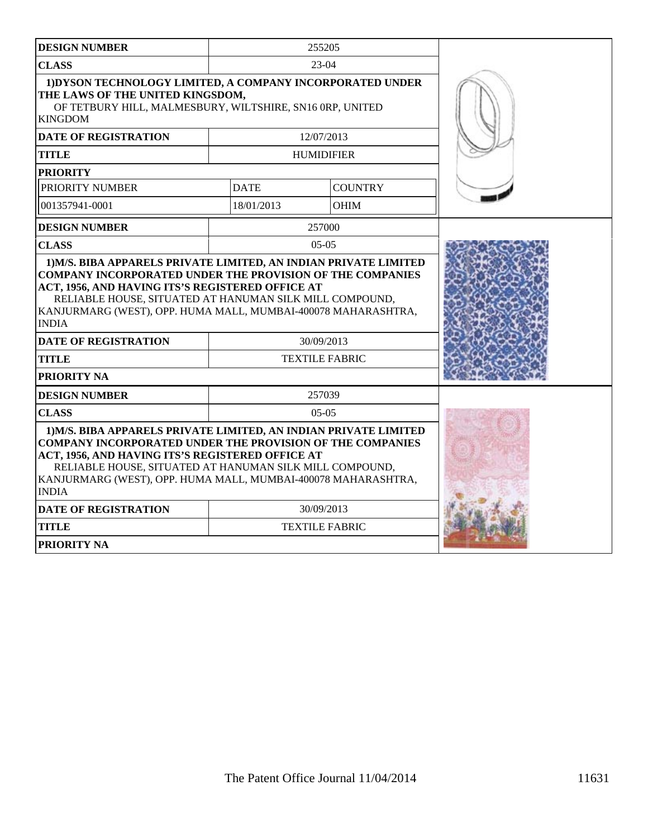| <b>DESIGN NUMBER</b>                                                                                                                                                                                                                                                                                                                 |                       | 255205                |  |
|--------------------------------------------------------------------------------------------------------------------------------------------------------------------------------------------------------------------------------------------------------------------------------------------------------------------------------------|-----------------------|-----------------------|--|
| <b>CLASS</b>                                                                                                                                                                                                                                                                                                                         |                       | 23-04                 |  |
| 1) DYSON TECHNOLOGY LIMITED, A COMPANY INCORPORATED UNDER<br>THE LAWS OF THE UNITED KINGSDOM,<br>OF TETBURY HILL, MALMESBURY, WILTSHIRE, SN16 ORP, UNITED<br><b>KINGDOM</b>                                                                                                                                                          |                       |                       |  |
| <b>DATE OF REGISTRATION</b>                                                                                                                                                                                                                                                                                                          |                       | 12/07/2013            |  |
| <b>TITLE</b>                                                                                                                                                                                                                                                                                                                         |                       | <b>HUMIDIFIER</b>     |  |
| <b>PRIORITY</b>                                                                                                                                                                                                                                                                                                                      |                       |                       |  |
| PRIORITY NUMBER                                                                                                                                                                                                                                                                                                                      | <b>DATE</b>           | <b>COUNTRY</b>        |  |
| 001357941-0001                                                                                                                                                                                                                                                                                                                       | 18/01/2013            | <b>OHIM</b>           |  |
| <b>DESIGN NUMBER</b>                                                                                                                                                                                                                                                                                                                 |                       | 257000                |  |
| <b>CLASS</b>                                                                                                                                                                                                                                                                                                                         |                       | $05-05$               |  |
| ACT, 1956, AND HAVING ITS'S REGISTERED OFFICE AT<br>RELIABLE HOUSE, SITUATED AT HANUMAN SILK MILL COMPOUND,<br>KANJURMARG (WEST), OPP. HUMA MALL, MUMBAI-400078 MAHARASHTRA,<br><b>INDIA</b>                                                                                                                                         |                       |                       |  |
| <b>DATE OF REGISTRATION</b>                                                                                                                                                                                                                                                                                                          |                       | 30/09/2013            |  |
| <b>TITLE</b>                                                                                                                                                                                                                                                                                                                         | <b>TEXTILE FABRIC</b> |                       |  |
| PRIORITY NA                                                                                                                                                                                                                                                                                                                          |                       |                       |  |
| <b>DESIGN NUMBER</b>                                                                                                                                                                                                                                                                                                                 |                       | 257039                |  |
| <b>CLASS</b>                                                                                                                                                                                                                                                                                                                         |                       | $05-05$               |  |
| 1) M/S. BIBA APPARELS PRIVATE LIMITED, AN INDIAN PRIVATE LIMITED<br><b>COMPANY INCORPORATED UNDER THE PROVISION OF THE COMPANIES</b><br>ACT, 1956, AND HAVING ITS'S REGISTERED OFFICE AT<br>RELIABLE HOUSE, SITUATED AT HANUMAN SILK MILL COMPOUND,<br>KANJURMARG (WEST), OPP. HUMA MALL, MUMBAI-400078 MAHARASHTRA,<br><b>INDIA</b> |                       |                       |  |
| <b>DATE OF REGISTRATION</b>                                                                                                                                                                                                                                                                                                          |                       | 30/09/2013            |  |
| <b>TITLE</b>                                                                                                                                                                                                                                                                                                                         |                       | <b>TEXTILE FABRIC</b> |  |
| <b>PRIORITY NA</b>                                                                                                                                                                                                                                                                                                                   |                       |                       |  |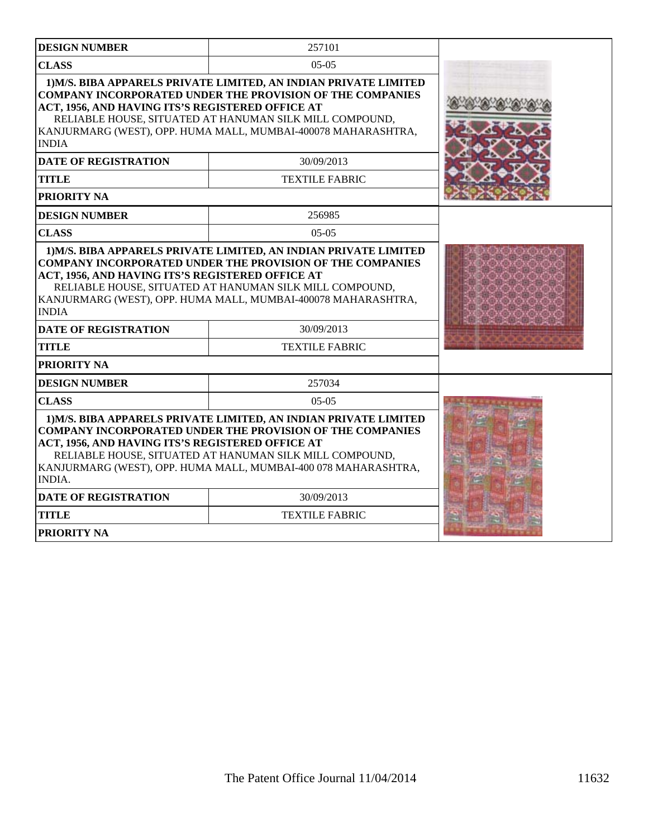| <b>DESIGN NUMBER</b>                                                                                                                                                                                                                                             | 257101                                                                                                                                                                                                                                                                         |  |
|------------------------------------------------------------------------------------------------------------------------------------------------------------------------------------------------------------------------------------------------------------------|--------------------------------------------------------------------------------------------------------------------------------------------------------------------------------------------------------------------------------------------------------------------------------|--|
| <b>CLASS</b>                                                                                                                                                                                                                                                     | $05-05$                                                                                                                                                                                                                                                                        |  |
| ACT, 1956, AND HAVING ITS'S REGISTERED OFFICE AT<br><b>INDIA</b><br><b>DATE OF REGISTRATION</b>                                                                                                                                                                  | 1) M/S. BIBA APPARELS PRIVATE LIMITED, AN INDIAN PRIVATE LIMITED<br><b>COMPANY INCORPORATED UNDER THE PROVISION OF THE COMPANIES</b><br>RELIABLE HOUSE, SITUATED AT HANUMAN SILK MILL COMPOUND,<br>KANJURMARG (WEST), OPP. HUMA MALL, MUMBAI-400078 MAHARASHTRA,<br>30/09/2013 |  |
| <b>TITLE</b>                                                                                                                                                                                                                                                     | <b>TEXTILE FABRIC</b>                                                                                                                                                                                                                                                          |  |
| PRIORITY NA                                                                                                                                                                                                                                                      |                                                                                                                                                                                                                                                                                |  |
| <b>DESIGN NUMBER</b>                                                                                                                                                                                                                                             | 256985                                                                                                                                                                                                                                                                         |  |
| <b>CLASS</b>                                                                                                                                                                                                                                                     | $05-05$                                                                                                                                                                                                                                                                        |  |
| <b>COMPANY INCORPORATED UNDER THE PROVISION OF THE COMPANIES</b><br>ACT, 1956, AND HAVING ITS'S REGISTERED OFFICE AT<br>RELIABLE HOUSE, SITUATED AT HANUMAN SILK MILL COMPOUND,<br>KANJURMARG (WEST), OPP. HUMA MALL, MUMBAI-400078 MAHARASHTRA,<br><b>INDIA</b> |                                                                                                                                                                                                                                                                                |  |
| <b>DATE OF REGISTRATION</b>                                                                                                                                                                                                                                      | 30/09/2013                                                                                                                                                                                                                                                                     |  |
| <b>TITLE</b>                                                                                                                                                                                                                                                     | <b>TEXTILE FABRIC</b>                                                                                                                                                                                                                                                          |  |
| PRIORITY NA                                                                                                                                                                                                                                                      |                                                                                                                                                                                                                                                                                |  |
| <b>DESIGN NUMBER</b>                                                                                                                                                                                                                                             | 257034                                                                                                                                                                                                                                                                         |  |
| <b>CLASS</b>                                                                                                                                                                                                                                                     | $05-05$                                                                                                                                                                                                                                                                        |  |
| ACT, 1956, AND HAVING ITS'S REGISTERED OFFICE AT<br><b>INDIA.</b>                                                                                                                                                                                                | 1) M/S. BIBA APPARELS PRIVATE LIMITED, AN INDIAN PRIVATE LIMITED<br><b>COMPANY INCORPORATED UNDER THE PROVISION OF THE COMPANIES</b><br>RELIABLE HOUSE, SITUATED AT HANUMAN SILK MILL COMPOUND,<br>KANJURMARG (WEST), OPP. HUMA MALL, MUMBAI-400 078 MAHARASHTRA,              |  |
| <b>DATE OF REGISTRATION</b>                                                                                                                                                                                                                                      | 30/09/2013                                                                                                                                                                                                                                                                     |  |
| <b>TITLE</b>                                                                                                                                                                                                                                                     | <b>TEXTILE FABRIC</b>                                                                                                                                                                                                                                                          |  |
| <b>PRIORITY NA</b>                                                                                                                                                                                                                                               |                                                                                                                                                                                                                                                                                |  |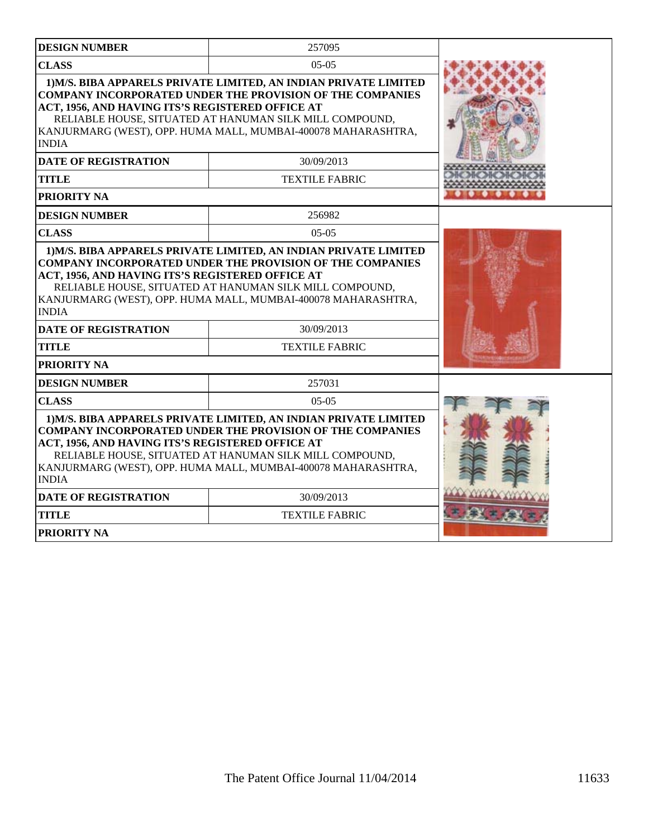| <b>DESIGN NUMBER</b>                                             | 257095                                                                                                                                                                                                                                                           |  |
|------------------------------------------------------------------|------------------------------------------------------------------------------------------------------------------------------------------------------------------------------------------------------------------------------------------------------------------|--|
| <b>CLASS</b>                                                     | $05-05$                                                                                                                                                                                                                                                          |  |
| ACT, 1956, AND HAVING ITS'S REGISTERED OFFICE AT<br><b>INDIA</b> | 1) M/S. BIBA APPARELS PRIVATE LIMITED, AN INDIAN PRIVATE LIMITED<br><b>COMPANY INCORPORATED UNDER THE PROVISION OF THE COMPANIES</b><br>RELIABLE HOUSE, SITUATED AT HANUMAN SILK MILL COMPOUND,<br>KANJURMARG (WEST), OPP. HUMA MALL, MUMBAI-400078 MAHARASHTRA, |  |
| <b>DATE OF REGISTRATION</b>                                      | 30/09/2013                                                                                                                                                                                                                                                       |  |
| <b>TITLE</b>                                                     | <b>TEXTILE FABRIC</b>                                                                                                                                                                                                                                            |  |
| PRIORITY NA                                                      |                                                                                                                                                                                                                                                                  |  |
| <b>DESIGN NUMBER</b>                                             | 256982                                                                                                                                                                                                                                                           |  |
| <b>CLASS</b>                                                     | $05-05$                                                                                                                                                                                                                                                          |  |
| ACT, 1956, AND HAVING ITS'S REGISTERED OFFICE AT<br><b>INDIA</b> | COMPANY INCORPORATED UNDER THE PROVISION OF THE COMPANIES<br>RELIABLE HOUSE, SITUATED AT HANUMAN SILK MILL COMPOUND,<br>KANJURMARG (WEST), OPP. HUMA MALL, MUMBAI-400078 MAHARASHTRA,                                                                            |  |
| <b>DATE OF REGISTRATION</b>                                      | 30/09/2013                                                                                                                                                                                                                                                       |  |
| <b>TITLE</b>                                                     | <b>TEXTILE FABRIC</b>                                                                                                                                                                                                                                            |  |
| PRIORITY NA                                                      |                                                                                                                                                                                                                                                                  |  |
| <b>DESIGN NUMBER</b>                                             | 257031                                                                                                                                                                                                                                                           |  |
| <b>CLASS</b>                                                     | $05-05$                                                                                                                                                                                                                                                          |  |
| ACT, 1956, AND HAVING ITS'S REGISTERED OFFICE AT<br><b>INDIA</b> | 1) M/S. BIBA APPARELS PRIVATE LIMITED, AN INDIAN PRIVATE LIMITED<br><b>COMPANY INCORPORATED UNDER THE PROVISION OF THE COMPANIES</b><br>RELIABLE HOUSE, SITUATED AT HANUMAN SILK MILL COMPOUND,<br>KANJURMARG (WEST), OPP. HUMA MALL, MUMBAI-400078 MAHARASHTRA, |  |
| <b>DATE OF REGISTRATION</b>                                      | 30/09/2013                                                                                                                                                                                                                                                       |  |
| <b>TITLE</b>                                                     | <b>TEXTILE FABRIC</b>                                                                                                                                                                                                                                            |  |
| <b>PRIORITY NA</b>                                               |                                                                                                                                                                                                                                                                  |  |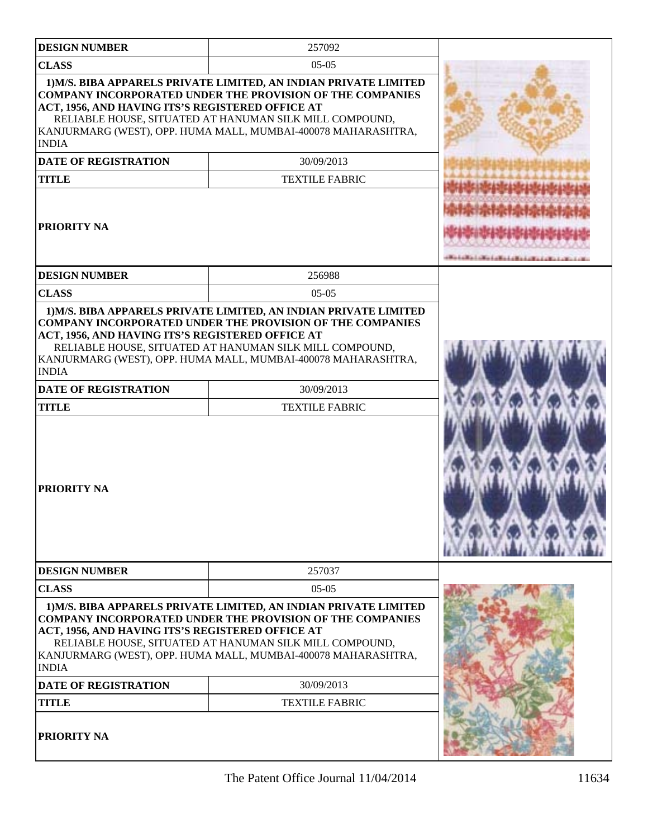| <b>DESIGN NUMBER</b>                                                                                                                  | 257092                                                                                                                                                                                                                                                                                                  |  |
|---------------------------------------------------------------------------------------------------------------------------------------|---------------------------------------------------------------------------------------------------------------------------------------------------------------------------------------------------------------------------------------------------------------------------------------------------------|--|
| <b>CLASS</b>                                                                                                                          | $05-05$                                                                                                                                                                                                                                                                                                 |  |
| ACT, 1956, AND HAVING ITS'S REGISTERED OFFICE AT<br><b>INDIA</b><br><b>DATE OF REGISTRATION</b><br><b>TITLE</b><br><b>PRIORITY NA</b> | 1) M/S. BIBA APPARELS PRIVATE LIMITED, AN INDIAN PRIVATE LIMITED<br><b>COMPANY INCORPORATED UNDER THE PROVISION OF THE COMPANIES</b><br>RELIABLE HOUSE, SITUATED AT HANUMAN SILK MILL COMPOUND,<br>KANJURMARG (WEST), OPP. HUMA MALL, MUMBAI-400078 MAHARASHTRA,<br>30/09/2013<br><b>TEXTILE FABRIC</b> |  |
| <b>DESIGN NUMBER</b>                                                                                                                  | 256988                                                                                                                                                                                                                                                                                                  |  |
| <b>CLASS</b>                                                                                                                          | $0.5 - 0.5$                                                                                                                                                                                                                                                                                             |  |
| ACT, 1956, AND HAVING ITS'S REGISTERED OFFICE AT<br><b>INDIA</b><br><b>DATE OF REGISTRATION</b><br><b>TITLE</b><br><b>PRIORITY NA</b> | <b>COMPANY INCORPORATED UNDER THE PROVISION OF THE COMPANIES</b><br>RELIABLE HOUSE, SITUATED AT HANUMAN SILK MILL COMPOUND,<br>KANJURMARG (WEST), OPP. HUMA MALL, MUMBAI-400078 MAHARASHTRA,<br>30/09/2013<br><b>TEXTILE FABRIC</b>                                                                     |  |
| <b>DESIGN NUMBER</b>                                                                                                                  | 257037                                                                                                                                                                                                                                                                                                  |  |
| <b>CLASS</b>                                                                                                                          | $05-05$                                                                                                                                                                                                                                                                                                 |  |
| ACT, 1956, AND HAVING ITS'S REGISTERED OFFICE AT<br><b>INDIA</b><br><b>DATE OF REGISTRATION</b><br><b>TITLE</b>                       | 1) M/S. BIBA APPARELS PRIVATE LIMITED, AN INDIAN PRIVATE LIMITED<br><b>COMPANY INCORPORATED UNDER THE PROVISION OF THE COMPANIES</b><br>RELIABLE HOUSE, SITUATED AT HANUMAN SILK MILL COMPOUND,<br>KANJURMARG (WEST), OPP. HUMA MALL, MUMBAI-400078 MAHARASHTRA,<br>30/09/2013<br><b>TEXTILE FABRIC</b> |  |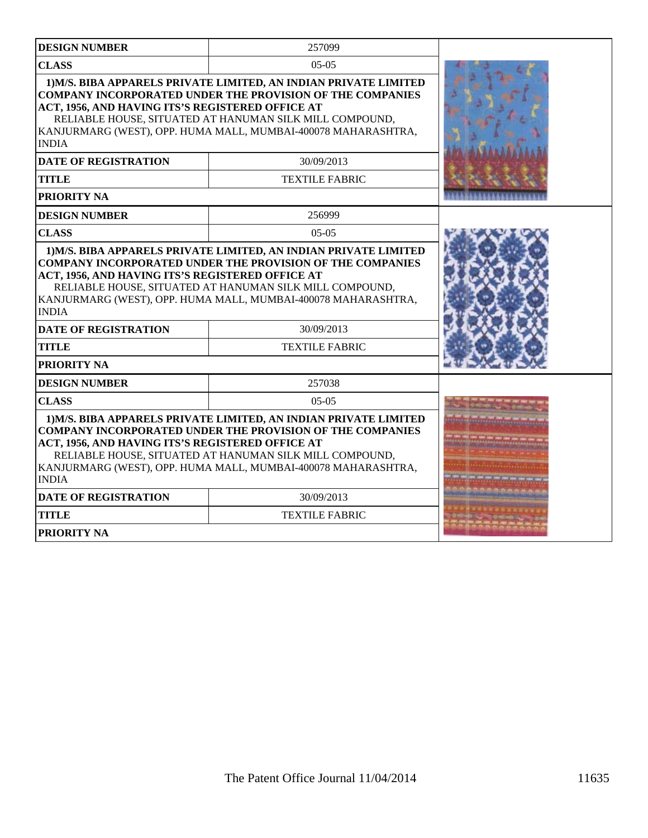| <b>DESIGN NUMBER</b>                                                                                                                                                                                                                                                                                                                 | 257099                                                                                                                                                                                                                                                           |  |
|--------------------------------------------------------------------------------------------------------------------------------------------------------------------------------------------------------------------------------------------------------------------------------------------------------------------------------------|------------------------------------------------------------------------------------------------------------------------------------------------------------------------------------------------------------------------------------------------------------------|--|
| <b>CLASS</b>                                                                                                                                                                                                                                                                                                                         |                                                                                                                                                                                                                                                                  |  |
| 1) M/S. BIBA APPARELS PRIVATE LIMITED, AN INDIAN PRIVATE LIMITED<br><b>COMPANY INCORPORATED UNDER THE PROVISION OF THE COMPANIES</b><br>ACT, 1956, AND HAVING ITS'S REGISTERED OFFICE AT<br>RELIABLE HOUSE, SITUATED AT HANUMAN SILK MILL COMPOUND,<br>KANJURMARG (WEST), OPP. HUMA MALL, MUMBAI-400078 MAHARASHTRA,<br><b>INDIA</b> |                                                                                                                                                                                                                                                                  |  |
| <b>DATE OF REGISTRATION</b>                                                                                                                                                                                                                                                                                                          | 30/09/2013                                                                                                                                                                                                                                                       |  |
| <b>TITLE</b>                                                                                                                                                                                                                                                                                                                         | <b>TEXTILE FABRIC</b>                                                                                                                                                                                                                                            |  |
| PRIORITY NA                                                                                                                                                                                                                                                                                                                          |                                                                                                                                                                                                                                                                  |  |
| <b>DESIGN NUMBER</b>                                                                                                                                                                                                                                                                                                                 | 256999                                                                                                                                                                                                                                                           |  |
| <b>CLASS</b>                                                                                                                                                                                                                                                                                                                         | $05-05$                                                                                                                                                                                                                                                          |  |
| <b>COMPANY INCORPORATED UNDER THE PROVISION OF THE COMPANIES</b><br>ACT, 1956, AND HAVING ITS'S REGISTERED OFFICE AT<br>RELIABLE HOUSE, SITUATED AT HANUMAN SILK MILL COMPOUND,<br>KANJURMARG (WEST), OPP. HUMA MALL, MUMBAI-400078 MAHARASHTRA,<br><b>INDIA</b>                                                                     |                                                                                                                                                                                                                                                                  |  |
| 30/09/2013<br><b>DATE OF REGISTRATION</b>                                                                                                                                                                                                                                                                                            |                                                                                                                                                                                                                                                                  |  |
| <b>TITLE</b>                                                                                                                                                                                                                                                                                                                         | <b>TEXTILE FABRIC</b>                                                                                                                                                                                                                                            |  |
| PRIORITY NA                                                                                                                                                                                                                                                                                                                          |                                                                                                                                                                                                                                                                  |  |
| <b>DESIGN NUMBER</b>                                                                                                                                                                                                                                                                                                                 | 257038                                                                                                                                                                                                                                                           |  |
| <b>CLASS</b>                                                                                                                                                                                                                                                                                                                         | $05-05$                                                                                                                                                                                                                                                          |  |
| ACT, 1956, AND HAVING ITS'S REGISTERED OFFICE AT<br><b>INDIA</b>                                                                                                                                                                                                                                                                     | 1) M/S. BIBA APPARELS PRIVATE LIMITED, AN INDIAN PRIVATE LIMITED<br><b>COMPANY INCORPORATED UNDER THE PROVISION OF THE COMPANIES</b><br>RELIABLE HOUSE, SITUATED AT HANUMAN SILK MILL COMPOUND,<br>KANJURMARG (WEST), OPP. HUMA MALL, MUMBAI-400078 MAHARASHTRA, |  |
| <b>DATE OF REGISTRATION</b>                                                                                                                                                                                                                                                                                                          | 30/09/2013                                                                                                                                                                                                                                                       |  |
| <b>TITLE</b>                                                                                                                                                                                                                                                                                                                         | <b>TEXTILE FABRIC</b>                                                                                                                                                                                                                                            |  |
| <b>PRIORITY NA</b>                                                                                                                                                                                                                                                                                                                   |                                                                                                                                                                                                                                                                  |  |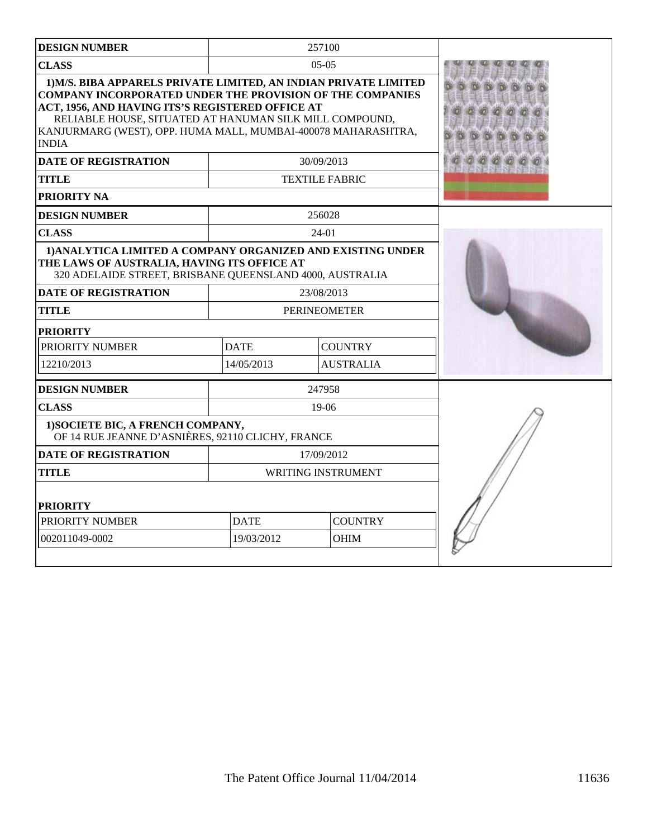| <b>DESIGN NUMBER</b>                                                                                                                                                                                                                                                                                                                                                                |                               | 257100           |  |
|-------------------------------------------------------------------------------------------------------------------------------------------------------------------------------------------------------------------------------------------------------------------------------------------------------------------------------------------------------------------------------------|-------------------------------|------------------|--|
| <b>CLASS</b>                                                                                                                                                                                                                                                                                                                                                                        |                               | $05-05$          |  |
| 1) M/S. BIBA APPARELS PRIVATE LIMITED, AN INDIAN PRIVATE LIMITED<br><b>COMPANY INCORPORATED UNDER THE PROVISION OF THE COMPANIES</b><br>ACT, 1956, AND HAVING ITS'S REGISTERED OFFICE AT<br>RELIABLE HOUSE, SITUATED AT HANUMAN SILK MILL COMPOUND,<br>KANJURMARG (WEST), OPP. HUMA MALL, MUMBAI-400078 MAHARASHTRA,<br><b>INDIA</b><br><b>DATE OF REGISTRATION</b><br><b>TITLE</b> |                               |                  |  |
| <b>PRIORITY NA</b>                                                                                                                                                                                                                                                                                                                                                                  |                               |                  |  |
| <b>DESIGN NUMBER</b>                                                                                                                                                                                                                                                                                                                                                                |                               | 256028           |  |
| <b>CLASS</b>                                                                                                                                                                                                                                                                                                                                                                        |                               | $24-01$          |  |
| 1) ANALYTICA LIMITED A COMPANY ORGANIZED AND EXISTING UNDER<br>THE LAWS OF AUSTRALIA, HAVING ITS OFFICE AT<br>320 ADELAIDE STREET, BRISBANE QUEENSLAND 4000, AUSTRALIA<br><b>DATE OF REGISTRATION</b>                                                                                                                                                                               |                               |                  |  |
| <b>TITLE</b>                                                                                                                                                                                                                                                                                                                                                                        | <b>PERINEOMETER</b>           |                  |  |
| <b>PRIORITY</b>                                                                                                                                                                                                                                                                                                                                                                     |                               |                  |  |
| PRIORITY NUMBER                                                                                                                                                                                                                                                                                                                                                                     | <b>DATE</b>                   | <b>COUNTRY</b>   |  |
| 12210/2013                                                                                                                                                                                                                                                                                                                                                                          | 14/05/2013                    | <b>AUSTRALIA</b> |  |
| <b>DESIGN NUMBER</b>                                                                                                                                                                                                                                                                                                                                                                |                               | 247958           |  |
| <b>CLASS</b>                                                                                                                                                                                                                                                                                                                                                                        |                               | $19-06$          |  |
| 1) SOCIETE BIC, A FRENCH COMPANY,<br>OF 14 RUE JEANNE D'ASNIÈRES, 92110 CLICHY, FRANCE                                                                                                                                                                                                                                                                                              |                               |                  |  |
| <b>DATE OF REGISTRATION</b>                                                                                                                                                                                                                                                                                                                                                         |                               | 17/09/2012       |  |
| <b>TITLE</b>                                                                                                                                                                                                                                                                                                                                                                        | <b>WRITING INSTRUMENT</b>     |                  |  |
| <b>PRIORITY</b>                                                                                                                                                                                                                                                                                                                                                                     |                               |                  |  |
| PRIORITY NUMBER                                                                                                                                                                                                                                                                                                                                                                     | <b>DATE</b><br><b>COUNTRY</b> |                  |  |
| 002011049-0002                                                                                                                                                                                                                                                                                                                                                                      | 19/03/2012                    | <b>OHIM</b>      |  |
|                                                                                                                                                                                                                                                                                                                                                                                     |                               |                  |  |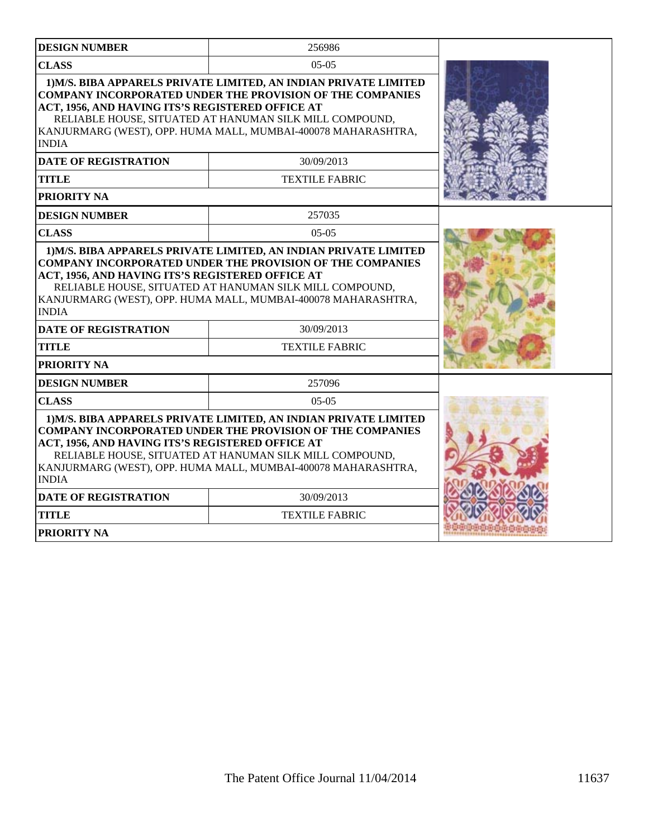| <b>DESIGN NUMBER</b>                                                                                                                                                                                                                                             | 256986                                                                                                                                                                                                                                                           |  |
|------------------------------------------------------------------------------------------------------------------------------------------------------------------------------------------------------------------------------------------------------------------|------------------------------------------------------------------------------------------------------------------------------------------------------------------------------------------------------------------------------------------------------------------|--|
| <b>CLASS</b>                                                                                                                                                                                                                                                     | $05-05$                                                                                                                                                                                                                                                          |  |
| ACT, 1956, AND HAVING ITS'S REGISTERED OFFICE AT<br><b>INDIA</b>                                                                                                                                                                                                 | 1) M/S. BIBA APPARELS PRIVATE LIMITED, AN INDIAN PRIVATE LIMITED<br><b>COMPANY INCORPORATED UNDER THE PROVISION OF THE COMPANIES</b><br>RELIABLE HOUSE, SITUATED AT HANUMAN SILK MILL COMPOUND,<br>KANJURMARG (WEST), OPP. HUMA MALL, MUMBAI-400078 MAHARASHTRA, |  |
| <b>DATE OF REGISTRATION</b>                                                                                                                                                                                                                                      | 30/09/2013                                                                                                                                                                                                                                                       |  |
| <b>TITLE</b>                                                                                                                                                                                                                                                     | <b>TEXTILE FABRIC</b>                                                                                                                                                                                                                                            |  |
| PRIORITY NA                                                                                                                                                                                                                                                      |                                                                                                                                                                                                                                                                  |  |
| <b>DESIGN NUMBER</b>                                                                                                                                                                                                                                             | 257035                                                                                                                                                                                                                                                           |  |
| <b>CLASS</b>                                                                                                                                                                                                                                                     | $0.5 - 0.5$                                                                                                                                                                                                                                                      |  |
| <b>COMPANY INCORPORATED UNDER THE PROVISION OF THE COMPANIES</b><br>ACT, 1956, AND HAVING ITS'S REGISTERED OFFICE AT<br>RELIABLE HOUSE, SITUATED AT HANUMAN SILK MILL COMPOUND,<br>KANJURMARG (WEST), OPP. HUMA MALL, MUMBAI-400078 MAHARASHTRA,<br><b>INDIA</b> |                                                                                                                                                                                                                                                                  |  |
| <b>DATE OF REGISTRATION</b>                                                                                                                                                                                                                                      | 30/09/2013                                                                                                                                                                                                                                                       |  |
| <b>TITLE</b>                                                                                                                                                                                                                                                     | <b>TEXTILE FABRIC</b>                                                                                                                                                                                                                                            |  |
| PRIORITY NA                                                                                                                                                                                                                                                      |                                                                                                                                                                                                                                                                  |  |
| <b>DESIGN NUMBER</b>                                                                                                                                                                                                                                             | 257096                                                                                                                                                                                                                                                           |  |
| <b>CLASS</b>                                                                                                                                                                                                                                                     | $05-05$                                                                                                                                                                                                                                                          |  |
| ACT, 1956, AND HAVING ITS'S REGISTERED OFFICE AT<br><b>INDIA</b>                                                                                                                                                                                                 | 1) M/S. BIBA APPARELS PRIVATE LIMITED, AN INDIAN PRIVATE LIMITED<br><b>COMPANY INCORPORATED UNDER THE PROVISION OF THE COMPANIES</b><br>RELIABLE HOUSE, SITUATED AT HANUMAN SILK MILL COMPOUND,<br>KANJURMARG (WEST), OPP. HUMA MALL, MUMBAI-400078 MAHARASHTRA, |  |
| <b>DATE OF REGISTRATION</b>                                                                                                                                                                                                                                      | 30/09/2013                                                                                                                                                                                                                                                       |  |
| <b>TITLE</b>                                                                                                                                                                                                                                                     | <b>TEXTILE FABRIC</b>                                                                                                                                                                                                                                            |  |
| <b>PRIORITY NA</b>                                                                                                                                                                                                                                               |                                                                                                                                                                                                                                                                  |  |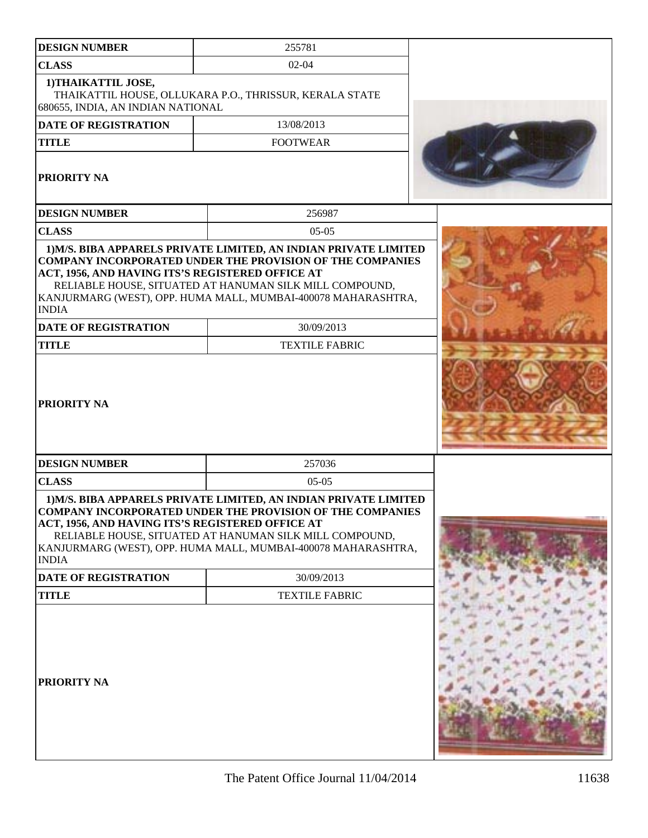| <b>DESIGN NUMBER</b>                                             | 255781                                                                                                                                                                                                                                                           |  |
|------------------------------------------------------------------|------------------------------------------------------------------------------------------------------------------------------------------------------------------------------------------------------------------------------------------------------------------|--|
| <b>CLASS</b>                                                     | $02 - 04$                                                                                                                                                                                                                                                        |  |
| 1) THAIKATTIL JOSE,<br>680655, INDIA, AN INDIAN NATIONAL         | THAIKATTIL HOUSE, OLLUKARA P.O., THRISSUR, KERALA STATE                                                                                                                                                                                                          |  |
| <b>DATE OF REGISTRATION</b>                                      | 13/08/2013                                                                                                                                                                                                                                                       |  |
| <b>TITLE</b>                                                     | <b>FOOTWEAR</b>                                                                                                                                                                                                                                                  |  |
| <b>PRIORITY NA</b>                                               |                                                                                                                                                                                                                                                                  |  |
| <b>DESIGN NUMBER</b>                                             | 256987                                                                                                                                                                                                                                                           |  |
| <b>CLASS</b>                                                     | $05-05$                                                                                                                                                                                                                                                          |  |
| ACT, 1956, AND HAVING ITS'S REGISTERED OFFICE AT<br><b>INDIA</b> | 1) M/S. BIBA APPARELS PRIVATE LIMITED, AN INDIAN PRIVATE LIMITED<br><b>COMPANY INCORPORATED UNDER THE PROVISION OF THE COMPANIES</b><br>RELIABLE HOUSE, SITUATED AT HANUMAN SILK MILL COMPOUND,<br>KANJURMARG (WEST), OPP. HUMA MALL, MUMBAI-400078 MAHARASHTRA, |  |
| <b>DATE OF REGISTRATION</b>                                      | 30/09/2013                                                                                                                                                                                                                                                       |  |
| <b>TITLE</b>                                                     | <b>TEXTILE FABRIC</b>                                                                                                                                                                                                                                            |  |
| <b>PRIORITY NA</b>                                               |                                                                                                                                                                                                                                                                  |  |
| <b>DESIGN NUMBER</b>                                             | 257036                                                                                                                                                                                                                                                           |  |
| <b>CLASS</b>                                                     | $05-05$                                                                                                                                                                                                                                                          |  |
| ACT, 1956, AND HAVING ITS'S REGISTERED OFFICE AT<br><b>INDIA</b> | 1) M/S. BIBA APPARELS PRIVATE LIMITED, AN INDIAN PRIVATE LIMITED<br><b>COMPANY INCORPORATED UNDER THE PROVISION OF THE COMPANIES</b><br>RELIABLE HOUSE, SITUATED AT HANUMAN SILK MILL COMPOUND,<br>KANJURMARG (WEST), OPP. HUMA MALL, MUMBAI-400078 MAHARASHTRA, |  |
| DATE OF REGISTRATION                                             | 30/09/2013                                                                                                                                                                                                                                                       |  |
| <b>TITLE</b>                                                     | <b>TEXTILE FABRIC</b>                                                                                                                                                                                                                                            |  |
| PRIORITY NA                                                      |                                                                                                                                                                                                                                                                  |  |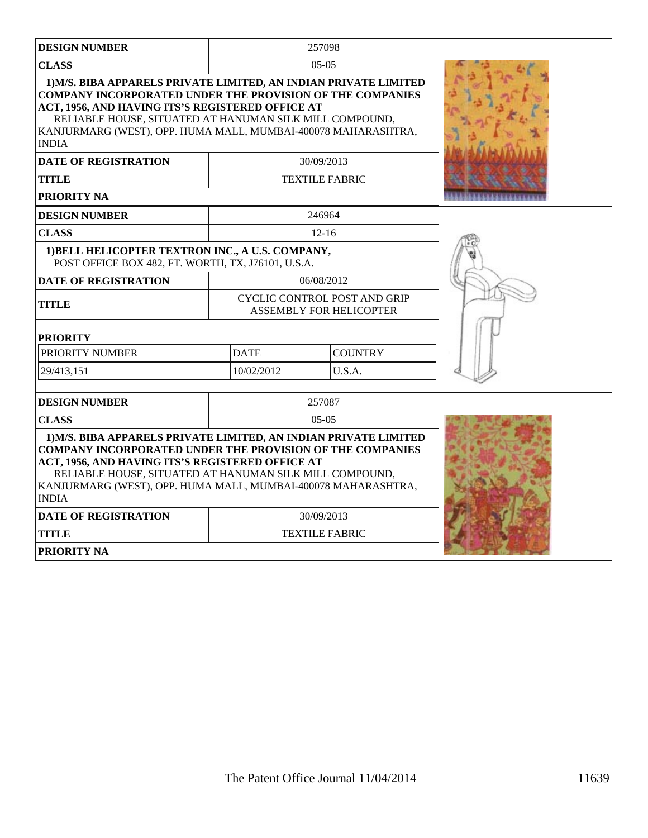| <b>DESIGN NUMBER</b>                                                                                                                                                                                                                                                                                                                 |             | 257098                                                         |  |
|--------------------------------------------------------------------------------------------------------------------------------------------------------------------------------------------------------------------------------------------------------------------------------------------------------------------------------------|-------------|----------------------------------------------------------------|--|
| <b>CLASS</b>                                                                                                                                                                                                                                                                                                                         |             | $05-05$                                                        |  |
| 1) M/S. BIBA APPARELS PRIVATE LIMITED, AN INDIAN PRIVATE LIMITED<br><b>COMPANY INCORPORATED UNDER THE PROVISION OF THE COMPANIES</b><br>ACT, 1956, AND HAVING ITS'S REGISTERED OFFICE AT<br>RELIABLE HOUSE, SITUATED AT HANUMAN SILK MILL COMPOUND,<br>KANJURMARG (WEST), OPP. HUMA MALL, MUMBAI-400078 MAHARASHTRA,<br><b>INDIA</b> |             |                                                                |  |
| <b>DATE OF REGISTRATION</b>                                                                                                                                                                                                                                                                                                          |             | 30/09/2013                                                     |  |
| <b>TITLE</b>                                                                                                                                                                                                                                                                                                                         |             | <b>TEXTILE FABRIC</b>                                          |  |
| PRIORITY NA                                                                                                                                                                                                                                                                                                                          |             |                                                                |  |
| <b>DESIGN NUMBER</b>                                                                                                                                                                                                                                                                                                                 |             | 246964                                                         |  |
| <b>CLASS</b>                                                                                                                                                                                                                                                                                                                         |             | $12 - 16$                                                      |  |
| 1) BELL HELICOPTER TEXTRON INC., A U.S. COMPANY,<br>POST OFFICE BOX 482, FT. WORTH, TX, J76101, U.S.A.                                                                                                                                                                                                                               |             |                                                                |  |
| <b>DATE OF REGISTRATION</b>                                                                                                                                                                                                                                                                                                          |             | 06/08/2012                                                     |  |
| <b>TITLE</b>                                                                                                                                                                                                                                                                                                                         |             | CYCLIC CONTROL POST AND GRIP<br><b>ASSEMBLY FOR HELICOPTER</b> |  |
| <b>PRIORITY</b>                                                                                                                                                                                                                                                                                                                      |             |                                                                |  |
| PRIORITY NUMBER                                                                                                                                                                                                                                                                                                                      | <b>DATE</b> | <b>COUNTRY</b>                                                 |  |
| 29/413,151                                                                                                                                                                                                                                                                                                                           | 10/02/2012  | U.S.A.                                                         |  |
| <b>DESIGN NUMBER</b>                                                                                                                                                                                                                                                                                                                 |             | 257087                                                         |  |
| <b>CLASS</b>                                                                                                                                                                                                                                                                                                                         |             | $05-05$                                                        |  |
| 1) M/S. BIBA APPARELS PRIVATE LIMITED, AN INDIAN PRIVATE LIMITED<br><b>COMPANY INCORPORATED UNDER THE PROVISION OF THE COMPANIES</b><br>ACT, 1956, AND HAVING ITS'S REGISTERED OFFICE AT<br>RELIABLE HOUSE, SITUATED AT HANUMAN SILK MILL COMPOUND,<br>KANJURMARG (WEST), OPP. HUMA MALL, MUMBAI-400078 MAHARASHTRA,<br><b>INDIA</b> |             |                                                                |  |
| <b>DATE OF REGISTRATION</b>                                                                                                                                                                                                                                                                                                          |             | 30/09/2013                                                     |  |
| TITLE                                                                                                                                                                                                                                                                                                                                |             | <b>TEXTILE FABRIC</b>                                          |  |
| PRIORITY NA                                                                                                                                                                                                                                                                                                                          |             |                                                                |  |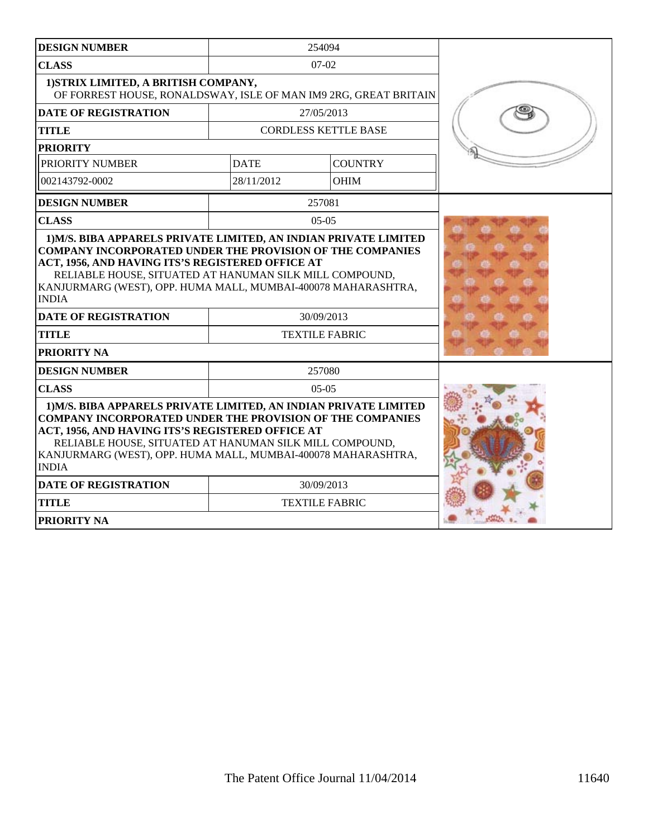| <b>DESIGN NUMBER</b>                                                                                                                                                                                                                                                                                                                                                  |             | 254094                      |  |
|-----------------------------------------------------------------------------------------------------------------------------------------------------------------------------------------------------------------------------------------------------------------------------------------------------------------------------------------------------------------------|-------------|-----------------------------|--|
| <b>CLASS</b>                                                                                                                                                                                                                                                                                                                                                          |             | $07-02$                     |  |
| 1) STRIX LIMITED, A BRITISH COMPANY,<br>OF FORREST HOUSE, RONALDSWAY, ISLE OF MAN IM9 2RG, GREAT BRITAIN                                                                                                                                                                                                                                                              |             |                             |  |
| <b>DATE OF REGISTRATION</b>                                                                                                                                                                                                                                                                                                                                           |             | 27/05/2013                  |  |
| <b>TITLE</b>                                                                                                                                                                                                                                                                                                                                                          |             | <b>CORDLESS KETTLE BASE</b> |  |
| <b>PRIORITY</b>                                                                                                                                                                                                                                                                                                                                                       |             |                             |  |
| PRIORITY NUMBER                                                                                                                                                                                                                                                                                                                                                       | <b>DATE</b> | <b>COUNTRY</b>              |  |
| 002143792-0002                                                                                                                                                                                                                                                                                                                                                        | 28/11/2012  | <b>OHIM</b>                 |  |
| <b>DESIGN NUMBER</b>                                                                                                                                                                                                                                                                                                                                                  |             | 257081                      |  |
| <b>CLASS</b>                                                                                                                                                                                                                                                                                                                                                          |             | $05-05$                     |  |
| <b>COMPANY INCORPORATED UNDER THE PROVISION OF THE COMPANIES</b><br>ACT, 1956, AND HAVING ITS'S REGISTERED OFFICE AT<br>RELIABLE HOUSE, SITUATED AT HANUMAN SILK MILL COMPOUND,<br>KANJURMARG (WEST), OPP. HUMA MALL, MUMBAI-400078 MAHARASHTRA,<br><b>INDIA</b><br><b>DATE OF REGISTRATION</b><br>30/09/2013<br><b>TEXTILE FABRIC</b><br><b>TITLE</b><br>PRIORITY NA |             |                             |  |
| <b>DESIGN NUMBER</b>                                                                                                                                                                                                                                                                                                                                                  |             | 257080                      |  |
| <b>CLASS</b>                                                                                                                                                                                                                                                                                                                                                          | $0.5 - 0.5$ |                             |  |
| 1) M/S. BIBA APPARELS PRIVATE LIMITED, AN INDIAN PRIVATE LIMITED<br><b>COMPANY INCORPORATED UNDER THE PROVISION OF THE COMPANIES</b><br>ACT, 1956, AND HAVING ITS'S REGISTERED OFFICE AT<br>RELIABLE HOUSE, SITUATED AT HANUMAN SILK MILL COMPOUND,<br>KANJURMARG (WEST), OPP. HUMA MALL, MUMBAI-400078 MAHARASHTRA,<br><b>INDIA</b>                                  |             |                             |  |
| <b>DATE OF REGISTRATION</b>                                                                                                                                                                                                                                                                                                                                           | 30/09/2013  |                             |  |
| <b>TITLE</b>                                                                                                                                                                                                                                                                                                                                                          |             | <b>TEXTILE FABRIC</b>       |  |
| <b>PRIORITY NA</b>                                                                                                                                                                                                                                                                                                                                                    |             |                             |  |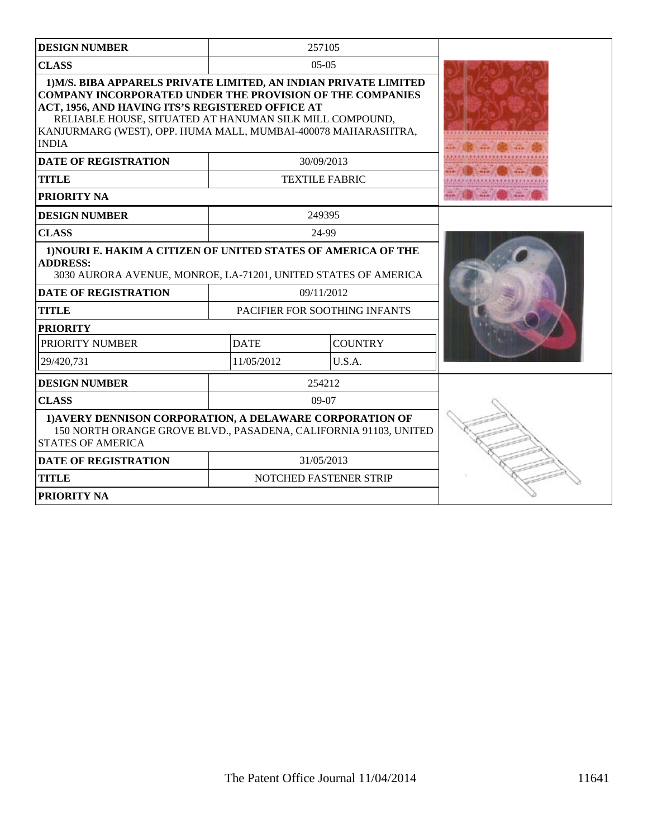| <b>DESIGN NUMBER</b>                                                                                                                                                                                                                                                                                                                                                |                               | 257105                 |  |
|---------------------------------------------------------------------------------------------------------------------------------------------------------------------------------------------------------------------------------------------------------------------------------------------------------------------------------------------------------------------|-------------------------------|------------------------|--|
| <b>CLASS</b>                                                                                                                                                                                                                                                                                                                                                        |                               | $0.5 - 0.5$            |  |
| 1) M/S. BIBA APPARELS PRIVATE LIMITED, AN INDIAN PRIVATE LIMITED<br><b>COMPANY INCORPORATED UNDER THE PROVISION OF THE COMPANIES</b><br>ACT, 1956, AND HAVING ITS'S REGISTERED OFFICE AT<br>RELIABLE HOUSE, SITUATED AT HANUMAN SILK MILL COMPOUND,<br>KANJURMARG (WEST), OPP. HUMA MALL, MUMBAI-400078 MAHARASHTRA,<br><b>INDIA</b><br><b>DATE OF REGISTRATION</b> |                               |                        |  |
| <b>TITLE</b>                                                                                                                                                                                                                                                                                                                                                        |                               | <b>TEXTILE FABRIC</b>  |  |
| <b>PRIORITY NA</b>                                                                                                                                                                                                                                                                                                                                                  |                               |                        |  |
| <b>DESIGN NUMBER</b>                                                                                                                                                                                                                                                                                                                                                |                               | 249395                 |  |
| <b>CLASS</b>                                                                                                                                                                                                                                                                                                                                                        |                               | 24-99                  |  |
| 1) NOURI E. HAKIM A CITIZEN OF UNITED STATES OF AMERICA OF THE<br><b>ADDRESS:</b><br>3030 AURORA AVENUE, MONROE, LA-71201, UNITED STATES OF AMERICA                                                                                                                                                                                                                 |                               |                        |  |
| <b>DATE OF REGISTRATION</b>                                                                                                                                                                                                                                                                                                                                         |                               | 09/11/2012             |  |
| <b>TITLE</b>                                                                                                                                                                                                                                                                                                                                                        | PACIFIER FOR SOOTHING INFANTS |                        |  |
| <b>PRIORITY</b>                                                                                                                                                                                                                                                                                                                                                     |                               |                        |  |
| PRIORITY NUMBER                                                                                                                                                                                                                                                                                                                                                     | <b>DATE</b>                   | <b>COUNTRY</b>         |  |
| 29/420.731                                                                                                                                                                                                                                                                                                                                                          | 11/05/2012                    | U.S.A.                 |  |
| <b>DESIGN NUMBER</b>                                                                                                                                                                                                                                                                                                                                                |                               | 254212                 |  |
| <b>CLASS</b>                                                                                                                                                                                                                                                                                                                                                        |                               | 09-07                  |  |
| 1) AVERY DENNISON CORPORATION, A DELAWARE CORPORATION OF<br>150 NORTH ORANGE GROVE BLVD., PASADENA, CALIFORNIA 91103, UNITED<br><b>STATES OF AMERICA</b>                                                                                                                                                                                                            |                               |                        |  |
| <b>DATE OF REGISTRATION</b>                                                                                                                                                                                                                                                                                                                                         |                               | 31/05/2013             |  |
| <b>TITLE</b>                                                                                                                                                                                                                                                                                                                                                        |                               | NOTCHED FASTENER STRIP |  |
| PRIORITY NA                                                                                                                                                                                                                                                                                                                                                         |                               |                        |  |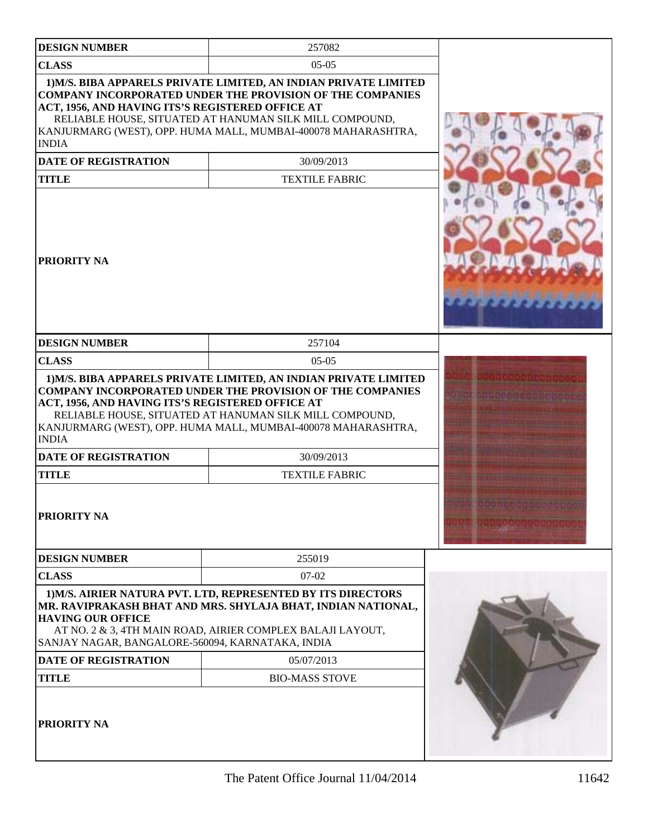| <b>DESIGN NUMBER</b>                                                         | 257082                                                                                                                                                                                                                                                           |  |
|------------------------------------------------------------------------------|------------------------------------------------------------------------------------------------------------------------------------------------------------------------------------------------------------------------------------------------------------------|--|
| <b>CLASS</b>                                                                 | $05-05$                                                                                                                                                                                                                                                          |  |
| ACT, 1956, AND HAVING ITS'S REGISTERED OFFICE AT                             | 1) M/S. BIBA APPARELS PRIVATE LIMITED, AN INDIAN PRIVATE LIMITED<br><b>COMPANY INCORPORATED UNDER THE PROVISION OF THE COMPANIES</b><br>RELIABLE HOUSE, SITUATED AT HANUMAN SILK MILL COMPOUND,<br>KANJURMARG (WEST), OPP. HUMA MALL, MUMBAI-400078 MAHARASHTRA, |  |
| <b>INDIA</b>                                                                 |                                                                                                                                                                                                                                                                  |  |
| <b>DATE OF REGISTRATION</b>                                                  | 30/09/2013                                                                                                                                                                                                                                                       |  |
| <b>TITLE</b>                                                                 | <b>TEXTILE FABRIC</b>                                                                                                                                                                                                                                            |  |
| <b>PRIORITY NA</b>                                                           |                                                                                                                                                                                                                                                                  |  |
| <b>DESIGN NUMBER</b>                                                         | 257104                                                                                                                                                                                                                                                           |  |
| <b>CLASS</b>                                                                 | $05-05$                                                                                                                                                                                                                                                          |  |
| ACT, 1956, AND HAVING ITS'S REGISTERED OFFICE AT<br><b>INDIA</b>             | <b>COMPANY INCORPORATED UNDER THE PROVISION OF THE COMPANIES</b><br>RELIABLE HOUSE, SITUATED AT HANUMAN SILK MILL COMPOUND,<br>KANJURMARG (WEST), OPP. HUMA MALL, MUMBAI-400078 MAHARASHTRA,                                                                     |  |
| <b>DATE OF REGISTRATION</b>                                                  | 30/09/2013                                                                                                                                                                                                                                                       |  |
| <b>TITLE</b>                                                                 | <b>TEXTILE FABRIC</b>                                                                                                                                                                                                                                            |  |
| PRIORITY NA                                                                  |                                                                                                                                                                                                                                                                  |  |
| <b>DESIGN NUMBER</b>                                                         | 255019                                                                                                                                                                                                                                                           |  |
| <b>CLASS</b>                                                                 | $07-02$                                                                                                                                                                                                                                                          |  |
| <b>HAVING OUR OFFICE</b><br>SANJAY NAGAR, BANGALORE-560094, KARNATAKA, INDIA | 1) M/S. AIRIER NATURA PVT. LTD, REPRESENTED BY ITS DIRECTORS<br>MR. RAVIPRAKASH BHAT AND MRS. SHYLAJA BHAT, INDIAN NATIONAL,<br>AT NO. 2 & 3, 4TH MAIN ROAD, AIRIER COMPLEX BALAJI LAYOUT,                                                                       |  |
| <b>DATE OF REGISTRATION</b>                                                  | 05/07/2013                                                                                                                                                                                                                                                       |  |
| <b>TITLE</b>                                                                 | <b>BIO-MASS STOVE</b>                                                                                                                                                                                                                                            |  |
| <b>PRIORITY NA</b>                                                           |                                                                                                                                                                                                                                                                  |  |

The Patent Office Journal 11/04/2014 11642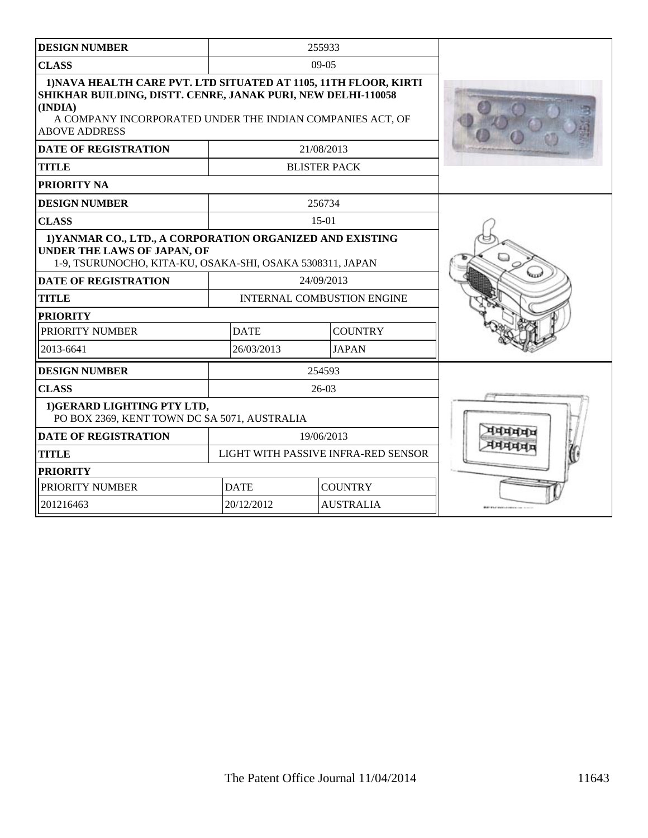| <b>DESIGN NUMBER</b>                                                                                                                                                                                                             |                                     | 255933              |  |
|----------------------------------------------------------------------------------------------------------------------------------------------------------------------------------------------------------------------------------|-------------------------------------|---------------------|--|
| <b>CLASS</b>                                                                                                                                                                                                                     | $09 - 05$                           |                     |  |
| 1) NAVA HEALTH CARE PVT. LTD SITUATED AT 1105, 11TH FLOOR, KIRTI<br>SHIKHAR BUILDING, DISTT. CENRE, JANAK PURI, NEW DELHI-110058<br>(INDIA)<br>A COMPANY INCORPORATED UNDER THE INDIAN COMPANIES ACT, OF<br><b>ABOVE ADDRESS</b> |                                     |                     |  |
| <b>DATE OF REGISTRATION</b>                                                                                                                                                                                                      |                                     | 21/08/2013          |  |
| <b>TITLE</b>                                                                                                                                                                                                                     |                                     | <b>BLISTER PACK</b> |  |
| PRIORITY NA                                                                                                                                                                                                                      |                                     |                     |  |
| <b>DESIGN NUMBER</b>                                                                                                                                                                                                             | 256734                              |                     |  |
| <b>CLASS</b>                                                                                                                                                                                                                     |                                     | $15-01$             |  |
| 1) YANMAR CO., LTD., A CORPORATION ORGANIZED AND EXISTING<br>UNDER THE LAWS OF JAPAN, OF<br>1-9, TSURUNOCHO, KITA-KU, OSAKA-SHI, OSAKA 5308311, JAPAN                                                                            |                                     |                     |  |
| <b>DATE OF REGISTRATION</b>                                                                                                                                                                                                      | 24/09/2013                          |                     |  |
| <b>TITLE</b>                                                                                                                                                                                                                     | <b>INTERNAL COMBUSTION ENGINE</b>   |                     |  |
| <b>PRIORITY</b>                                                                                                                                                                                                                  |                                     |                     |  |
| PRIORITY NUMBER                                                                                                                                                                                                                  | <b>DATE</b><br><b>COUNTRY</b>       |                     |  |
| 2013-6641                                                                                                                                                                                                                        | 26/03/2013                          | <b>JAPAN</b>        |  |
| <b>DESIGN NUMBER</b>                                                                                                                                                                                                             | 254593                              |                     |  |
| <b>CLASS</b>                                                                                                                                                                                                                     | $26-03$                             |                     |  |
| 1) GERARD LIGHTING PTY LTD,<br>PO BOX 2369, KENT TOWN DC SA 5071, AUSTRALIA                                                                                                                                                      |                                     |                     |  |
| <b>DATE OF REGISTRATION</b>                                                                                                                                                                                                      | 19/06/2013                          |                     |  |
| <b>TITLE</b>                                                                                                                                                                                                                     | LIGHT WITH PASSIVE INFRA-RED SENSOR |                     |  |
| <b>PRIORITY</b>                                                                                                                                                                                                                  |                                     |                     |  |
| PRIORITY NUMBER                                                                                                                                                                                                                  | <b>DATE</b>                         | <b>COUNTRY</b>      |  |
| 201216463                                                                                                                                                                                                                        | 20/12/2012<br><b>AUSTRALIA</b>      |                     |  |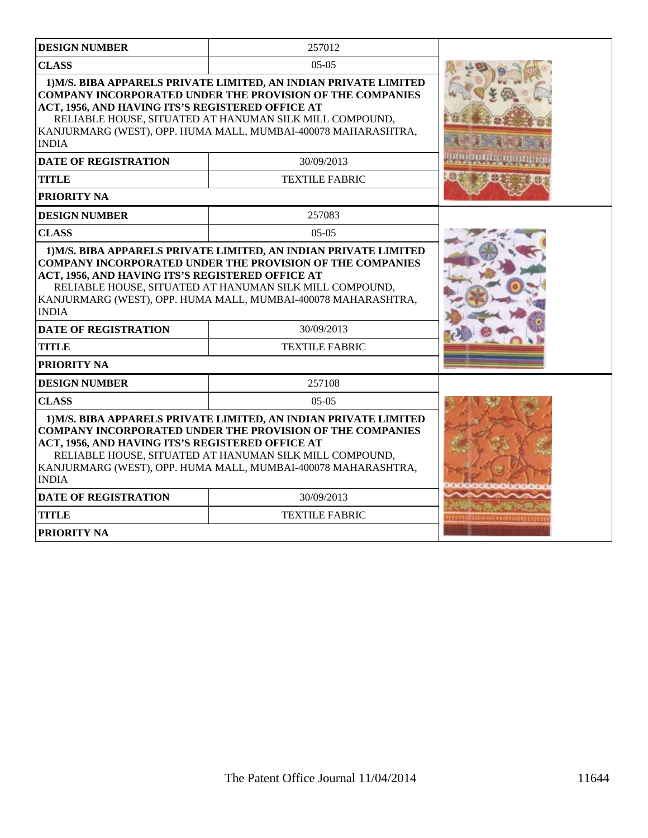| <b>DESIGN NUMBER</b>                                                                                                                                                                                                                                                                                                                 | 257012                |  |
|--------------------------------------------------------------------------------------------------------------------------------------------------------------------------------------------------------------------------------------------------------------------------------------------------------------------------------------|-----------------------|--|
| <b>CLASS</b><br>$05-05$                                                                                                                                                                                                                                                                                                              |                       |  |
| 1) M/S. BIBA APPARELS PRIVATE LIMITED, AN INDIAN PRIVATE LIMITED<br><b>COMPANY INCORPORATED UNDER THE PROVISION OF THE COMPANIES</b><br>ACT, 1956, AND HAVING ITS'S REGISTERED OFFICE AT<br>RELIABLE HOUSE, SITUATED AT HANUMAN SILK MILL COMPOUND,<br>KANJURMARG (WEST), OPP. HUMA MALL, MUMBAI-400078 MAHARASHTRA,<br><b>INDIA</b> |                       |  |
| <b>DATE OF REGISTRATION</b>                                                                                                                                                                                                                                                                                                          | 30/09/2013            |  |
| <b>TITLE</b>                                                                                                                                                                                                                                                                                                                         | <b>TEXTILE FABRIC</b> |  |
| PRIORITY NA                                                                                                                                                                                                                                                                                                                          |                       |  |
| <b>DESIGN NUMBER</b>                                                                                                                                                                                                                                                                                                                 | 257083                |  |
| <b>CLASS</b>                                                                                                                                                                                                                                                                                                                         | $05-05$               |  |
| <b>COMPANY INCORPORATED UNDER THE PROVISION OF THE COMPANIES</b><br>ACT, 1956, AND HAVING ITS'S REGISTERED OFFICE AT<br>RELIABLE HOUSE, SITUATED AT HANUMAN SILK MILL COMPOUND,<br>KANJURMARG (WEST), OPP. HUMA MALL, MUMBAI-400078 MAHARASHTRA,<br><b>INDIA</b>                                                                     |                       |  |
| <b>DATE OF REGISTRATION</b>                                                                                                                                                                                                                                                                                                          | 30/09/2013            |  |
| <b>TITLE</b>                                                                                                                                                                                                                                                                                                                         | <b>TEXTILE FABRIC</b> |  |
| PRIORITY NA                                                                                                                                                                                                                                                                                                                          |                       |  |
| <b>DESIGN NUMBER</b>                                                                                                                                                                                                                                                                                                                 | 257108                |  |
| <b>CLASS</b>                                                                                                                                                                                                                                                                                                                         | $05-05$               |  |
| 1) M/S. BIBA APPARELS PRIVATE LIMITED, AN INDIAN PRIVATE LIMITED<br><b>COMPANY INCORPORATED UNDER THE PROVISION OF THE COMPANIES</b><br>ACT, 1956, AND HAVING ITS'S REGISTERED OFFICE AT<br>RELIABLE HOUSE, SITUATED AT HANUMAN SILK MILL COMPOUND,<br>KANJURMARG (WEST), OPP. HUMA MALL, MUMBAI-400078 MAHARASHTRA,<br><b>INDIA</b> |                       |  |
| <b>DATE OF REGISTRATION</b>                                                                                                                                                                                                                                                                                                          | 30/09/2013            |  |
| <b>TITLE</b>                                                                                                                                                                                                                                                                                                                         | <b>TEXTILE FABRIC</b> |  |
| <b>PRIORITY NA</b>                                                                                                                                                                                                                                                                                                                   |                       |  |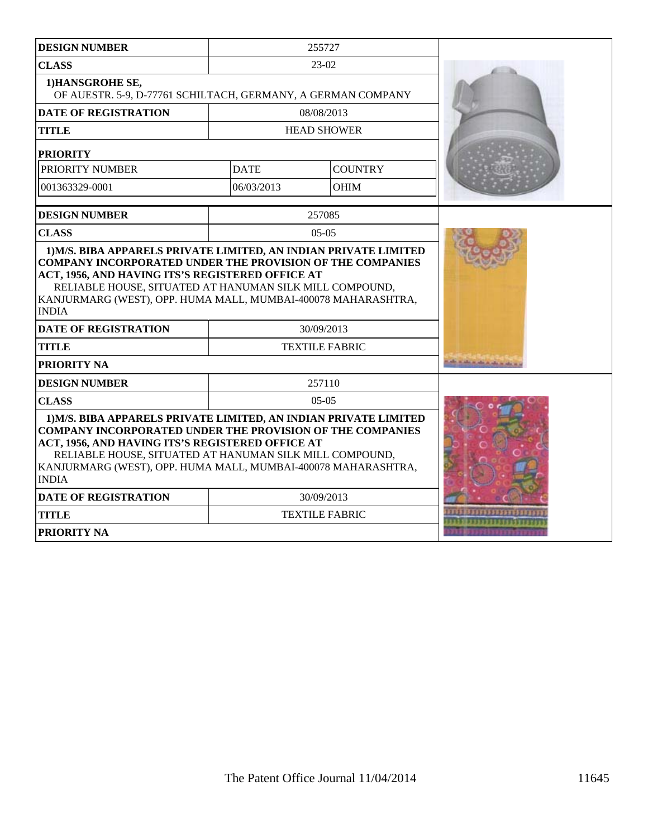| <b>DESIGN NUMBER</b>                                                                                                                                                                                                                                                                                                                 |                       | 255727         |  |
|--------------------------------------------------------------------------------------------------------------------------------------------------------------------------------------------------------------------------------------------------------------------------------------------------------------------------------------|-----------------------|----------------|--|
| <b>CLASS</b>                                                                                                                                                                                                                                                                                                                         | $23-02$               |                |  |
| 1)HANSGROHE SE,<br>OF AUESTR. 5-9, D-77761 SCHILTACH, GERMANY, A GERMAN COMPANY                                                                                                                                                                                                                                                      |                       |                |  |
| <b>DATE OF REGISTRATION</b>                                                                                                                                                                                                                                                                                                          | 08/08/2013            |                |  |
| <b>TITLE</b>                                                                                                                                                                                                                                                                                                                         | <b>HEAD SHOWER</b>    |                |  |
| <b>PRIORITY</b>                                                                                                                                                                                                                                                                                                                      |                       |                |  |
| PRIORITY NUMBER                                                                                                                                                                                                                                                                                                                      | <b>DATE</b>           | <b>COUNTRY</b> |  |
| 001363329-0001                                                                                                                                                                                                                                                                                                                       | 06/03/2013            | <b>OHIM</b>    |  |
| <b>DESIGN NUMBER</b>                                                                                                                                                                                                                                                                                                                 |                       | 257085         |  |
| <b>CLASS</b>                                                                                                                                                                                                                                                                                                                         |                       | $05-05$        |  |
| ACT, 1956, AND HAVING ITS'S REGISTERED OFFICE AT<br>RELIABLE HOUSE, SITUATED AT HANUMAN SILK MILL COMPOUND,<br>KANJURMARG (WEST), OPP. HUMA MALL, MUMBAI-400078 MAHARASHTRA,<br><b>INDIA</b>                                                                                                                                         |                       |                |  |
| <b>DATE OF REGISTRATION</b>                                                                                                                                                                                                                                                                                                          | 30/09/2013            |                |  |
| <b>TITLE</b>                                                                                                                                                                                                                                                                                                                         | <b>TEXTILE FABRIC</b> |                |  |
| PRIORITY NA                                                                                                                                                                                                                                                                                                                          |                       |                |  |
| <b>DESIGN NUMBER</b>                                                                                                                                                                                                                                                                                                                 |                       | 257110         |  |
| <b>CLASS</b>                                                                                                                                                                                                                                                                                                                         | $05-05$               |                |  |
| 1) M/S. BIBA APPARELS PRIVATE LIMITED, AN INDIAN PRIVATE LIMITED<br><b>COMPANY INCORPORATED UNDER THE PROVISION OF THE COMPANIES</b><br>ACT, 1956, AND HAVING ITS'S REGISTERED OFFICE AT<br>RELIABLE HOUSE, SITUATED AT HANUMAN SILK MILL COMPOUND,<br>KANJURMARG (WEST), OPP. HUMA MALL, MUMBAI-400078 MAHARASHTRA,<br><b>INDIA</b> |                       |                |  |
| <b>DATE OF REGISTRATION</b>                                                                                                                                                                                                                                                                                                          | 30/09/2013            |                |  |
| <b>TITLE</b>                                                                                                                                                                                                                                                                                                                         | <b>TEXTILE FABRIC</b> |                |  |
| <b>PRIORITY NA</b>                                                                                                                                                                                                                                                                                                                   |                       |                |  |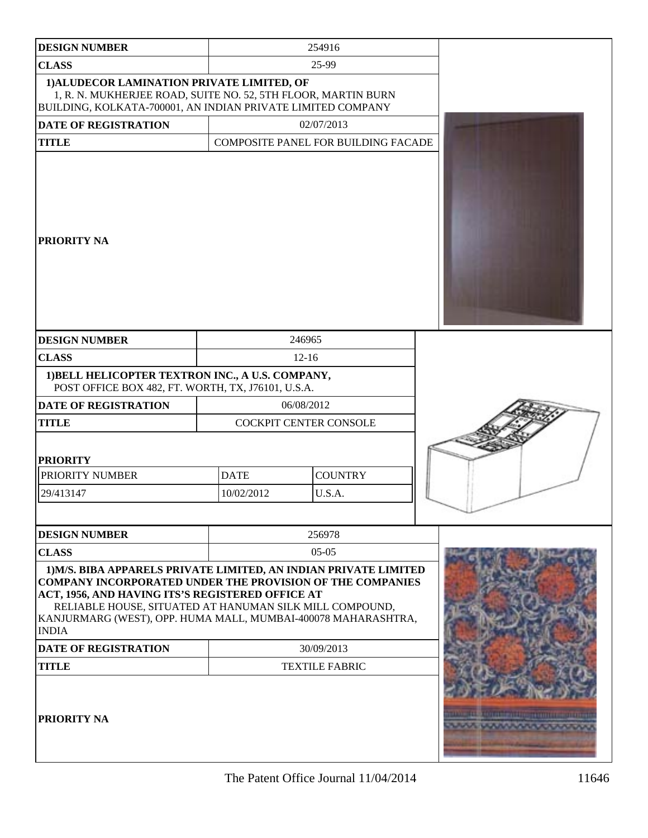| <b>DESIGN NUMBER</b>                                                                                                                                                                                                                                                                                                                 |                        | 254916                              |                           |
|--------------------------------------------------------------------------------------------------------------------------------------------------------------------------------------------------------------------------------------------------------------------------------------------------------------------------------------|------------------------|-------------------------------------|---------------------------|
| <b>CLASS</b>                                                                                                                                                                                                                                                                                                                         |                        | 25-99                               |                           |
| 1) ALUDECOR LAMINATION PRIVATE LIMITED, OF<br>1, R. N. MUKHERJEE ROAD, SUITE NO. 52, 5TH FLOOR, MARTIN BURN<br>BUILDING, KOLKATA-700001, AN INDIAN PRIVATE LIMITED COMPANY                                                                                                                                                           |                        |                                     |                           |
| <b>DATE OF REGISTRATION</b>                                                                                                                                                                                                                                                                                                          |                        | 02/07/2013                          |                           |
| <b>TITLE</b>                                                                                                                                                                                                                                                                                                                         |                        | COMPOSITE PANEL FOR BUILDING FACADE |                           |
| <b>PRIORITY NA</b>                                                                                                                                                                                                                                                                                                                   |                        |                                     |                           |
| <b>DESIGN NUMBER</b>                                                                                                                                                                                                                                                                                                                 |                        | 246965                              |                           |
| <b>CLASS</b>                                                                                                                                                                                                                                                                                                                         |                        | $12 - 16$                           |                           |
| 1) BELL HELICOPTER TEXTRON INC., A U.S. COMPANY,<br>POST OFFICE BOX 482, FT. WORTH, TX, J76101, U.S.A.                                                                                                                                                                                                                               |                        |                                     |                           |
| <b>DATE OF REGISTRATION</b>                                                                                                                                                                                                                                                                                                          | 06/08/2012             |                                     |                           |
| <b>TITLE</b>                                                                                                                                                                                                                                                                                                                         | COCKPIT CENTER CONSOLE |                                     |                           |
| <b>PRIORITY</b><br>PRIORITY NUMBER                                                                                                                                                                                                                                                                                                   | <b>DATE</b>            | <b>COUNTRY</b>                      |                           |
| 29/413147                                                                                                                                                                                                                                                                                                                            | 10/02/2012<br>U.S.A.   |                                     |                           |
|                                                                                                                                                                                                                                                                                                                                      |                        |                                     |                           |
|                                                                                                                                                                                                                                                                                                                                      |                        |                                     |                           |
| <b>DESIGN NUMBER</b>                                                                                                                                                                                                                                                                                                                 | 256978                 |                                     |                           |
| <b>CLASS</b>                                                                                                                                                                                                                                                                                                                         |                        | $05-05$                             |                           |
| 1) M/S. BIBA APPARELS PRIVATE LIMITED, AN INDIAN PRIVATE LIMITED<br><b>COMPANY INCORPORATED UNDER THE PROVISION OF THE COMPANIES</b><br>ACT, 1956, AND HAVING ITS'S REGISTERED OFFICE AT<br>RELIABLE HOUSE, SITUATED AT HANUMAN SILK MILL COMPOUND,<br>KANJURMARG (WEST), OPP. HUMA MALL, MUMBAI-400078 MAHARASHTRA,<br><b>INDIA</b> |                        |                                     |                           |
| <b>DATE OF REGISTRATION</b>                                                                                                                                                                                                                                                                                                          | 30/09/2013             |                                     |                           |
| <b>TITLE</b>                                                                                                                                                                                                                                                                                                                         | <b>TEXTILE FABRIC</b>  |                                     |                           |
| <b>PRIORITY NA</b>                                                                                                                                                                                                                                                                                                                   |                        |                                     | THE R. CONTINUES FOURISED |